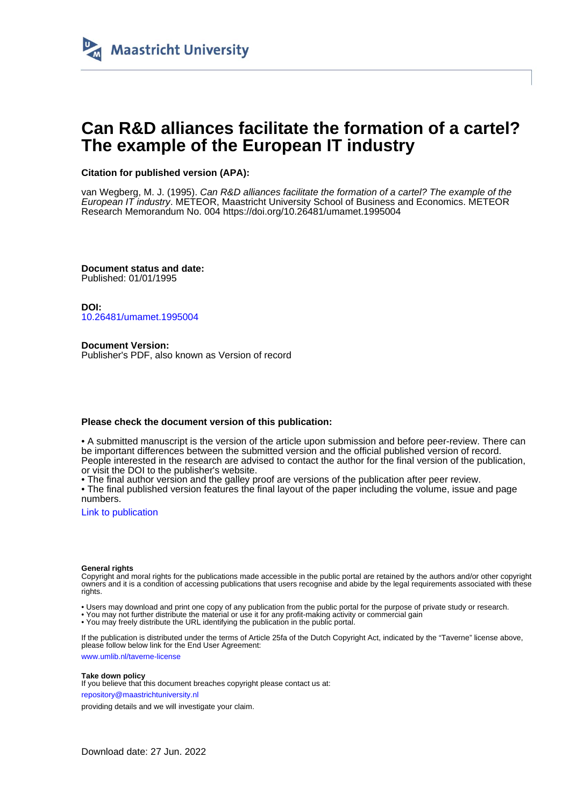

# **Can R&D alliances facilitate the formation of a cartel? The example of the European IT industry**

## **Citation for published version (APA):**

van Wegberg, M. J. (1995). Can R&D alliances facilitate the formation of a cartel? The example of the European IT industry. METEOR, Maastricht University School of Business and Economics. METEOR Research Memorandum No. 004 <https://doi.org/10.26481/umamet.1995004>

**Document status and date:** Published: 01/01/1995

**DOI:** [10.26481/umamet.1995004](https://doi.org/10.26481/umamet.1995004)

**Document Version:** Publisher's PDF, also known as Version of record

#### **Please check the document version of this publication:**

• A submitted manuscript is the version of the article upon submission and before peer-review. There can be important differences between the submitted version and the official published version of record. People interested in the research are advised to contact the author for the final version of the publication, or visit the DOI to the publisher's website.

• The final author version and the galley proof are versions of the publication after peer review.

• The final published version features the final layout of the paper including the volume, issue and page numbers.

[Link to publication](https://cris.maastrichtuniversity.nl/en/publications/55609e5a-922e-4314-b4a8-deb3276481cd)

#### **General rights**

Copyright and moral rights for the publications made accessible in the public portal are retained by the authors and/or other copyright owners and it is a condition of accessing publications that users recognise and abide by the legal requirements associated with these rights.

• Users may download and print one copy of any publication from the public portal for the purpose of private study or research.

• You may not further distribute the material or use it for any profit-making activity or commercial gain

• You may freely distribute the URL identifying the publication in the public portal.

If the publication is distributed under the terms of Article 25fa of the Dutch Copyright Act, indicated by the "Taverne" license above, please follow below link for the End User Agreement:

www.umlib.nl/taverne-license

#### **Take down policy**

If you believe that this document breaches copyright please contact us at: repository@maastrichtuniversity.nl

providing details and we will investigate your claim.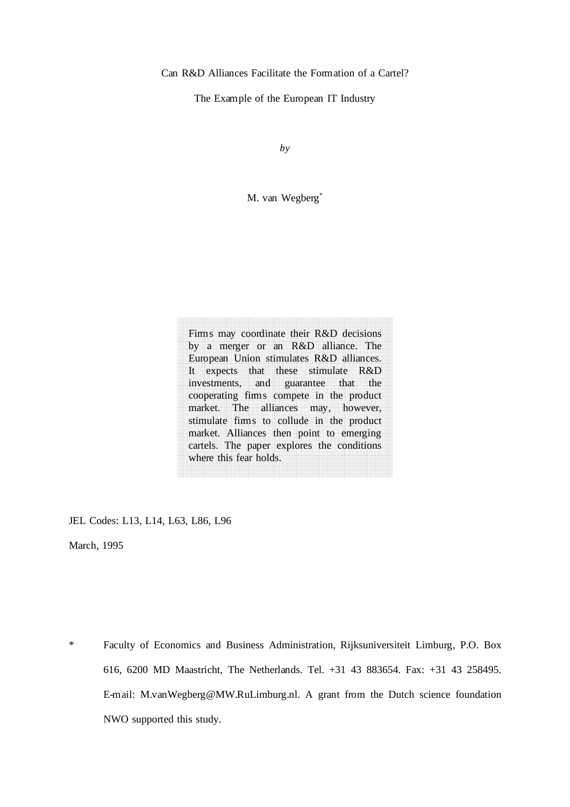Can R&D Alliances Facilitate the Formation of a Cartel?

The Example of the European IT Industry

*by*

M. van Wegberg\*

 $\frac{444}{\sqrt{2}}$ where this fear holds. market. Alliances then point to emerging<br>cartels. The paper explores the conditions market. Alliances then point to emerging market. The alliances may, however,<br>stimulate fims to collude in the product it expects that these stimulate K&D<br>investments, and guarantee that the<br>cooperating fimms compete in the product It expects that these stimulate R&D<br>investments, and guarantee that the<br>cooperating fimes compete in the product by a merger or an K&D antance. The<br>European Union stimulates R&D alliances.  $\overline{a}$ A a may coolumate their K&D decisions<br>by a merger or an R&D alliance. The Firms may coordinate their R&D decisions where this tear holds. aaaaa ahaa It expects that these stimulate R&D nese sumun<br>guarantee<br>ampete in t AAAA AAAA AAAA AAAA AAAA AAAA AAAA AAAA AAAA AAAA AAAA AAAA AAAA AAAA AAAA AAAA AAAA AAAA AAAA AAAA that AAAA AAAA AAAA AAAA AAAA AAAA AAAA AAAA AAAA AAAA the AAAA AAAA AAAA AAAA AAAA AAAA AAAA AAAA AAAA AAAA AAAA AAAA AAAA AAAA AAAA AAAA AAAA AAAA AAAA AAAA AAAA AAAA AAAA AAAA AAAA AAAA AAAA AAAA AAAA AAAA AAAA AAAA AAAA AAAA AAAA AAAA AAAA market. The alliances may, however,

AAAA

AAAA

JEL Codes: L13, L14, L63, L86, L96

March, 1995

\* Faculty of Economics and Business Administration, Rijksuniversiteit Limburg, P.O. Box 616, 6200 MD Maastricht, The Netherlands. Tel. +31 43 883654. Fax: +31 43 258495. E-mail: M.vanWegberg@MW.RuLimburg.nl. A grant from the Dutch science foundation NWO supported this study.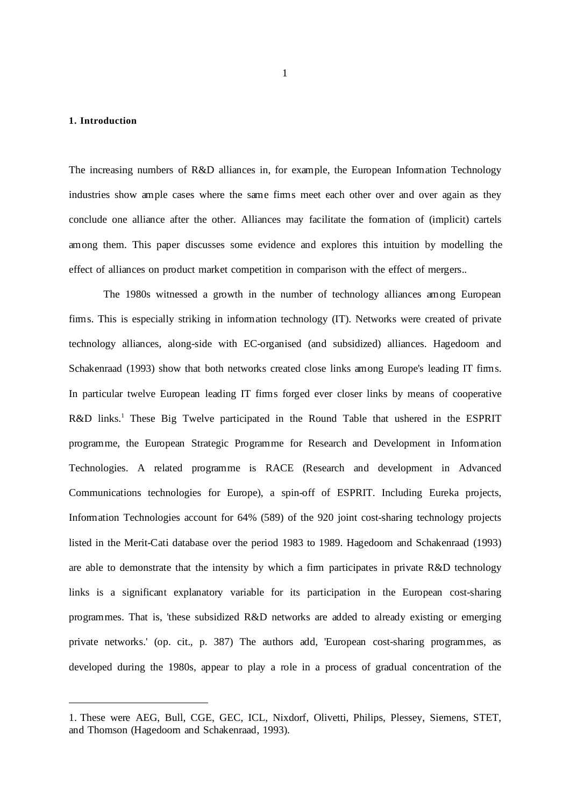## **1. Introduction**

 $\overline{a}$ 

The increasing numbers of R&D alliances in, for example, the European Information Technology industries show ample cases where the same firms meet each other over and over again as they conclude one alliance after the other. Alliances may facilitate the formation of (implicit) cartels among them. This paper discusses some evidence and explores this intuition by modelling the effect of alliances on product market competition in comparison with the effect of mergers..

The 1980s witnessed a growth in the number of technology alliances among European firms. This is especially striking in information technology (IT). Networks were created of private technology alliances, along-side with EC-organised (and subsidized) alliances. Hagedoorn and Schakenraad (1993) show that both networks created close links among Europe's leading IT firms. In particular twelve European leading IT firms forged ever closer links by means of cooperative R&D links.<sup>1</sup> These Big Twelve participated in the Round Table that ushered in the ESPRIT programme, the European Strategic Programme for Research and Development in Information Technologies. A related programme is RACE (Research and development in Advanced Communications technologies for Europe), a spin-off of ESPRIT. Including Eureka projects, Information Technologies account for 64% (589) of the 920 joint cost-sharing technology projects listed in the Merit-Cati database over the period 1983 to 1989. Hagedoorn and Schakenraad (1993) are able to demonstrate that the intensity by which a firm participates in private R&D technology links is a significant explanatory variable for its participation in the European cost-sharing programmes. That is, 'these subsidized R&D networks are added to already existing or emerging private networks.' (op. cit., p. 387) The authors add, 'European cost-sharing programmes, as developed during the 1980s, appear to play a role in a process of gradual concentration of the

<sup>1.</sup> These were AEG, Bull, CGE, GEC, ICL, Nixdorf, Olivetti, Philips, Plessey, Siemens, STET, and Thomson (Hagedoorn and Schakenraad, 1993).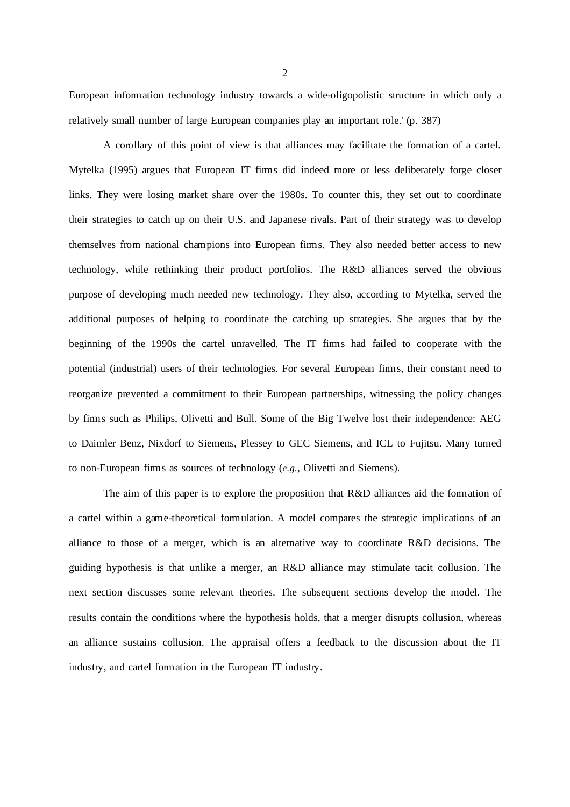European information technology industry towards a wide-oligopolistic structure in which only a relatively small number of large European companies play an important role.' (p. 387)

A corollary of this point of view is that alliances may facilitate the formation of a cartel. Mytelka (1995) argues that European IT firms did indeed more or less deliberately forge closer links. They were losing market share over the 1980s. To counter this, they set out to coordinate their strategies to catch up on their U.S. and Japanese rivals. Part of their strategy was to develop themselves from national champions into European firms. They also needed better access to new technology, while rethinking their product portfolios. The R&D alliances served the obvious purpose of developing much needed new technology. They also, according to Mytelka, served the additional purposes of helping to coordinate the catching up strategies. She argues that by the beginning of the 1990s the cartel unravelled. The IT firms had failed to cooperate with the potential (industrial) users of their technologies. For several European firms, their constant need to reorganize prevented a commitment to their European partnerships, witnessing the policy changes by firms such as Philips, Olivetti and Bull. Some of the Big Twelve lost their independence: AEG to Daimler Benz, Nixdorf to Siemens, Plessey to GEC Siemens, and ICL to Fujitsu. Many turned to non-European firms as sources of technology (*e.g.*, Olivetti and Siemens).

The aim of this paper is to explore the proposition that R&D alliances aid the formation of a cartel within a game-theoretical formulation. A model compares the strategic implications of an alliance to those of a merger, which is an alternative way to coordinate R&D decisions. The guiding hypothesis is that unlike a merger, an R&D alliance may stimulate tacit collusion. The next section discusses some relevant theories. The subsequent sections develop the model. The results contain the conditions where the hypothesis holds, that a merger disrupts collusion, whereas an alliance sustains collusion. The appraisal offers a feedback to the discussion about the IT industry, and cartel formation in the European IT industry.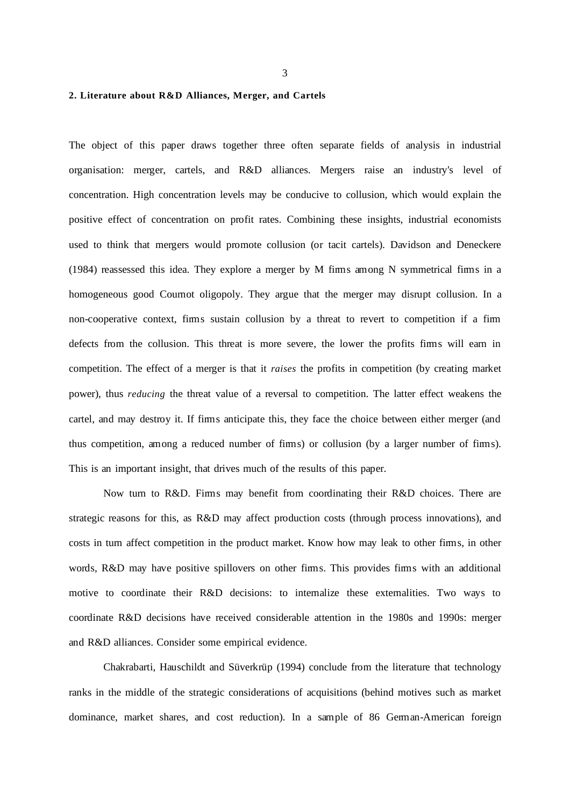3

#### **2. Literature about R&D Alliances, Merger, and Cartels**

The object of this paper draws together three often separate fields of analysis in industrial organisation: merger, cartels, and R&D alliances. Mergers raise an industry's level of concentration. High concentration levels may be conducive to collusion, which would explain the positive effect of concentration on profit rates. Combining these insights, industrial economists used to think that mergers would promote collusion (or tacit cartels). Davidson and Deneckere (1984) reassessed this idea. They explore a merger by M firms among N symmetrical firms in a homogeneous good Cournot oligopoly. They argue that the merger may disrupt collusion. In a non-cooperative context, firms sustain collusion by a threat to revert to competition if a firm defects from the collusion. This threat is more severe, the lower the profits firms will earn in competition. The effect of a merger is that it *raises* the profits in competition (by creating market power), thus *reducing* the threat value of a reversal to competition. The latter effect weakens the cartel, and may destroy it. If firms anticipate this, they face the choice between either merger (and thus competition, among a reduced number of firms) or collusion (by a larger number of firms). This is an important insight, that drives much of the results of this paper.

Now turn to R&D. Firms may benefit from coordinating their R&D choices. There are strategic reasons for this, as R&D may affect production costs (through process innovations), and costs in turn affect competition in the product market. Know how may leak to other firms, in other words, R&D may have positive spillovers on other firms. This provides firms with an additional motive to coordinate their R&D decisions: to internalize these externalities. Two ways to coordinate R&D decisions have received considerable attention in the 1980s and 1990s: merger and R&D alliances. Consider some empirical evidence.

Chakrabarti, Hauschildt and Süverkrüp (1994) conclude from the literature that technology ranks in the middle of the strategic considerations of acquisitions (behind motives such as market dominance, market shares, and cost reduction). In a sample of 86 German-American foreign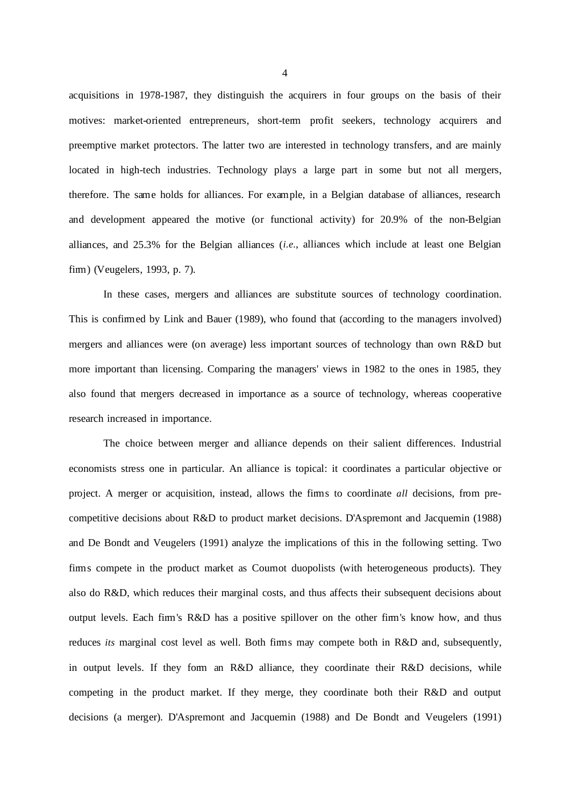acquisitions in 1978-1987, they distinguish the acquirers in four groups on the basis of their motives: market-oriented entrepreneurs, short-term profit seekers, technology acquirers and preemptive market protectors. The latter two are interested in technology transfers, and are mainly located in high-tech industries. Technology plays a large part in some but not all mergers, therefore. The same holds for alliances. For example, in a Belgian database of alliances, research and development appeared the motive (or functional activity) for 20.9% of the non-Belgian alliances, and 25.3% for the Belgian alliances (*i.e.*, alliances which include at least one Belgian firm) (Veugelers, 1993, p. 7).

In these cases, mergers and alliances are substitute sources of technology coordination. This is confirmed by Link and Bauer (1989), who found that (according to the managers involved) mergers and alliances were (on average) less important sources of technology than own R&D but more important than licensing. Comparing the managers' views in 1982 to the ones in 1985, they also found that mergers decreased in importance as a source of technology, whereas cooperative research increased in importance.

The choice between merger and alliance depends on their salient differences. Industrial economists stress one in particular. An alliance is topical: it coordinates a particular objective or project. A merger or acquisition, instead, allows the firms to coordinate *all* decisions, from precompetitive decisions about R&D to product market decisions. D'Aspremont and Jacquemin (1988) and De Bondt and Veugelers (1991) analyze the implications of this in the following setting. Two firms compete in the product market as Cournot duopolists (with heterogeneous products). They also do R&D, which reduces their marginal costs, and thus affects their subsequent decisions about output levels. Each firm's R&D has a positive spillover on the other firm's know how, and thus reduces *its* marginal cost level as well. Both firms may compete both in R&D and, subsequently, in output levels. If they form an R&D alliance, they coordinate their R&D decisions, while competing in the product market. If they merge, they coordinate both their R&D and output decisions (a merger). D'Aspremont and Jacquemin (1988) and De Bondt and Veugelers (1991)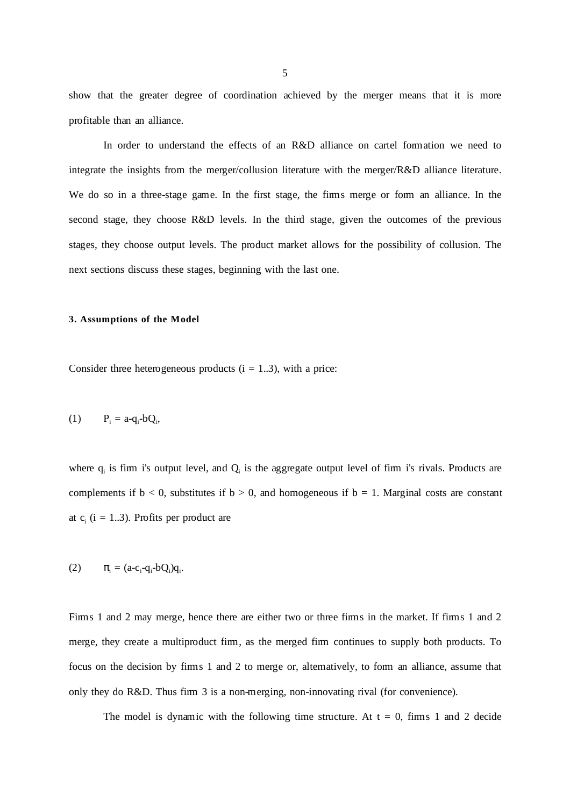show that the greater degree of coordination achieved by the merger means that it is more profitable than an alliance.

In order to understand the effects of an R&D alliance on cartel formation we need to integrate the insights from the merger/collusion literature with the merger/R&D alliance literature. We do so in a three-stage game. In the first stage, the firms merge or form an alliance. In the second stage, they choose R&D levels. In the third stage, given the outcomes of the previous stages, they choose output levels. The product market allows for the possibility of collusion. The next sections discuss these stages, beginning with the last one.

## **3. Assumptions of the Model**

Consider three heterogeneous products  $(i = 1..3)$ , with a price:

$$
(1) \tP_i = a - q_i - bQ_i,
$$

where  $q_i$  is firm i's output level, and  $Q_i$  is the aggregate output level of firm i's rivals. Products are complements if  $b < 0$ , substitutes if  $b > 0$ , and homogeneous if  $b = 1$ . Marginal costs are constant at  $c_i$  (i = 1..3). Profits per product are

(2) 
$$
\pi_i = (a-c_i-q_i-bQ_i)q_i.
$$

Firms 1 and 2 may merge, hence there are either two or three firms in the market. If firms 1 and 2 merge, they create a multiproduct firm, as the merged firm continues to supply both products. To focus on the decision by firms 1 and 2 to merge or, alternatively, to form an alliance, assume that only they do R&D. Thus firm 3 is a non-merging, non-innovating rival (for convenience).

The model is dynamic with the following time structure. At  $t = 0$ , firms 1 and 2 decide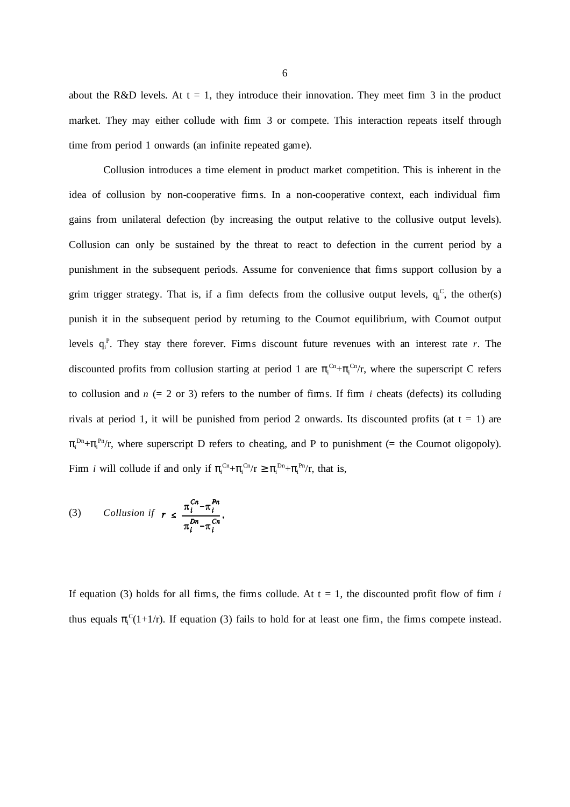about the R&D levels. At  $t = 1$ , they introduce their innovation. They meet firm 3 in the product market. They may either collude with firm 3 or compete. This interaction repeats itself through time from period 1 onwards (an infinite repeated game).

Collusion introduces a time element in product market competition. This is inherent in the idea of collusion by non-cooperative firms. In a non-cooperative context, each individual firm gains from unilateral defection (by increasing the output relative to the collusive output levels). Collusion can only be sustained by the threat to react to defection in the current period by a punishment in the subsequent periods. Assume for convenience that firms support collusion by a grim trigger strategy. That is, if a firm defects from the collusive output levels,  $q_i^c$ , the other(s) punish it in the subsequent period by returning to the Cournot equilibrium, with Cournot output levels  $q_i^P$ . They stay there forever. Firms discount future revenues with an interest rate *r*. The discounted profits from collusion starting at period 1 are  $\pi_i^{C_n} + \pi_i^{C_n}/r$ , where the superscript C refers to collusion and  $n (= 2 \text{ or } 3)$  refers to the number of firms. If firm *i* cheats (defects) its colluding rivals at period 1, it will be punished from period 2 onwards. Its discounted profits (at  $t = 1$ ) are  $\pi_i^{Dn} + \pi_i^{Pn}/r$ , where superscript D refers to cheating, and P to punishment (= the Cournot oligopoly). Firm *i* will collude if and only if  $\pi_i^{C_n} + \pi_i^{C_n}/r \ge \pi_i^{D_n} + \pi_i^{P_n}/r$ , that is,

(3) *Collision if* 
$$
r \leq \frac{\pi_i^{C_n} - \pi_i^{P_n}}{\pi_i^{D_n} - \pi_i^{C_n}}
$$
.

If equation (3) holds for all firms, the firms collude. At  $t = 1$ , the discounted profit flow of firm *i* thus equals  $\pi_i^C(1+1/r)$ . If equation (3) fails to hold for at least one firm, the firms compete instead.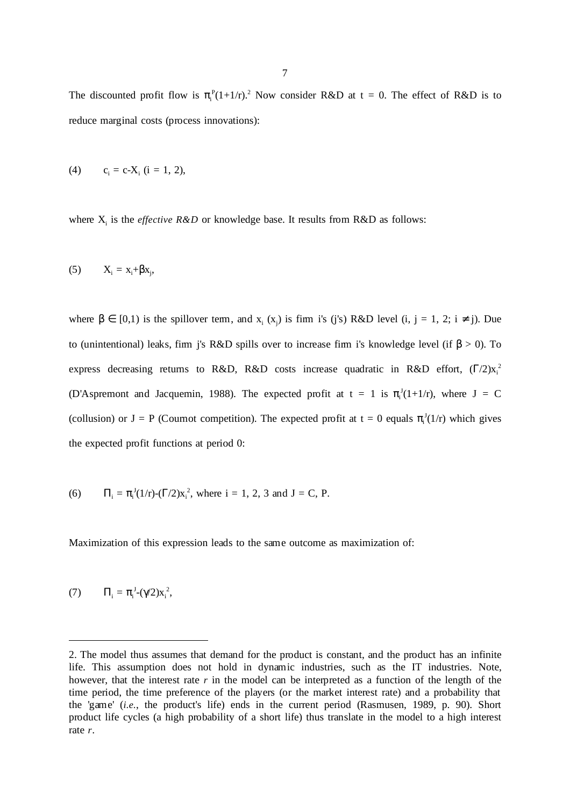The discounted profit flow is  $\pi_i^P(1+1/r)^2$ . Now consider R&D at t = 0. The effect of R&D is to reduce marginal costs (process innovations):

(4) 
$$
c_i = c-X_i
$$
 (i = 1, 2),

where  $X_i$  is the *effective R&D* or knowledge base. It results from R&D as follows:

$$
(5) \qquad X_i = x_i + \beta x_j,
$$

where  $\beta \in [0,1)$  is the spillover term, and  $x_i(x_j)$  is firm i's (j's) R&D level (i, j = 1, 2; i  $\neq$  j). Due to (unintentional) leaks, firm j's R&D spills over to increase firm i's knowledge level (if  $β > 0$ ). To express decreasing returns to R&D, R&D costs increase quadratic in R&D effort,  $(\Gamma/2)x_i^2$ (D'Aspremont and Jacquemin, 1988). The expected profit at  $t = 1$  is  $\pi_i^J(1+1/r)$ , where  $J = C$ (collusion) or  $J = P$  (Cournot competition). The expected profit at  $t = 0$  equals  $\pi_i^J(1/r)$  which gives the expected profit functions at period 0:

(6) 
$$
\Pi_i = \pi_i^J(1/r) - (\Gamma/2)x_i^2
$$
, where  $i = 1, 2, 3$  and  $J = C$ , P.

Maximization of this expression leads to the same outcome as maximization of:

$$
(7) \qquad \Pi_i = \pi_i^{\mathrm{J}} \text{-} (\gamma/2) x_i^{\mathrm{2}},
$$

 $\overline{a}$ 

<sup>2.</sup> The model thus assumes that demand for the product is constant, and the product has an infinite life. This assumption does not hold in dynamic industries, such as the IT industries. Note, however, that the interest rate *r* in the model can be interpreted as a function of the length of the time period, the time preference of the players (or the market interest rate) and a probability that the 'game' (*i.e.*, the product's life) ends in the current period (Rasmusen, 1989, p. 90). Short product life cycles (a high probability of a short life) thus translate in the model to a high interest rate *r*.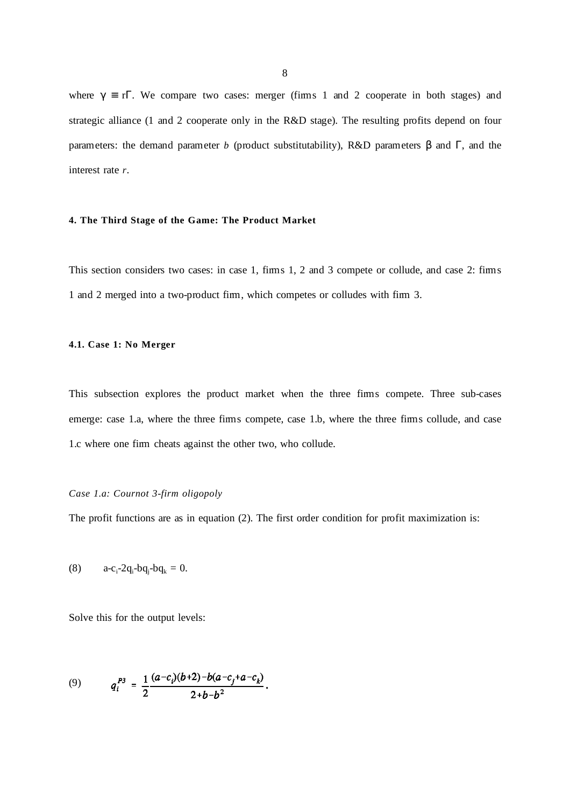where  $\gamma \equiv r\Gamma$ . We compare two cases: merger (firms 1 and 2 cooperate in both stages) and strategic alliance (1 and 2 cooperate only in the R&D stage). The resulting profits depend on four parameters: the demand parameter *b* (product substitutability), R&D parameters β and Γ, and the interest rate *r*.

## **4. The Third Stage of the Game: The Product Market**

This section considers two cases: in case 1, firms 1, 2 and 3 compete or collude, and case 2: firms 1 and 2 merged into a two-product firm, which competes or colludes with firm 3.

## **4.1. Case 1: No Merger**

This subsection explores the product market when the three firms compete. Three sub-cases emerge: case 1.a, where the three firms compete, case 1.b, where the three firms collude, and case 1.c where one firm cheats against the other two, who collude.

## *Case 1.a: Cournot 3-firm oligopoly*

The profit functions are as in equation (2). The first order condition for profit maximization is:

(8) 
$$
a-c_i-2q_i-bq_j-bq_k = 0.
$$

Solve this for the output levels:

(9) 
$$
q_i^{P3} = \frac{1}{2} \frac{(a-c_i)(b+2)-b(a-c_j+a-c_k)}{2+b-b^2}.
$$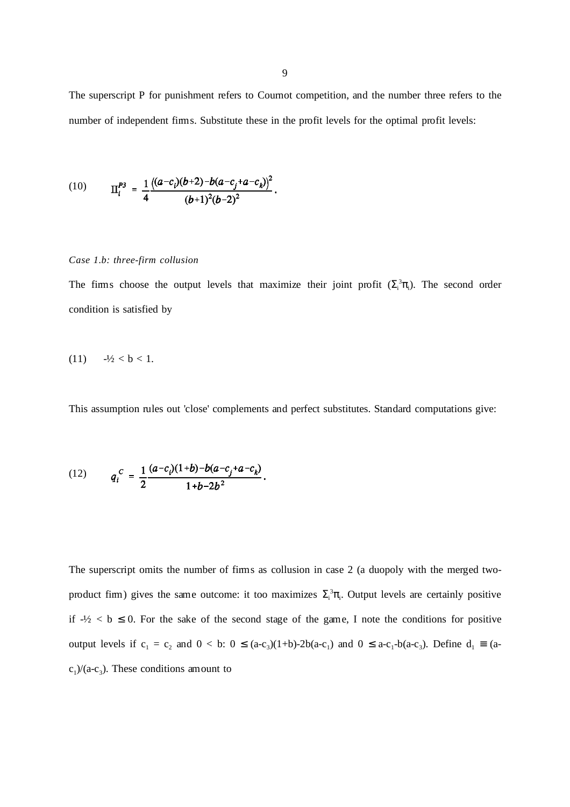The superscript P for punishment refers to Cournot competition, and the number three refers to the number of independent firms. Substitute these in the profit levels for the optimal profit levels:

(10) 
$$
\Pi_i^{P3} = \frac{1}{4} \frac{\left( (a-c_i)(b+2) - b(a-c_j + a-c_k) \right)^2}{(b+1)^2(b-2)^2}.
$$

### *Case 1.b: three-firm collusion*

The firms choose the output levels that maximize their joint profit  $(\Sigma_i^3 \pi_i)$ . The second order condition is satisfied by

$$
(11) \t-1/2 < b < 1.
$$

This assumption rules out 'close' complements and perfect substitutes. Standard computations give:

(12) 
$$
q_i^C = \frac{1}{2} \frac{(a-c_i)(1+b)-b(a-c_j+a-c_k)}{1+b-2b^2}.
$$

The superscript omits the number of firms as collusion in case 2 (a duopoly with the merged twoproduct firm) gives the same outcome: it too maximizes  $\Sigma_i^3 \pi_i$ . Output levels are certainly positive if  $-\frac{1}{2} < b \le 0$ . For the sake of the second stage of the game, I note the conditions for positive output levels if  $c_1 = c_2$  and  $0 < b$ :  $0 \le (a-c_3)(1+b) - 2b(a-c_1)$  and  $0 \le a-c_1-b(a-c_3)$ . Define  $d_1 \equiv (a-b)(a-c_1)$  $c_1$ /(a-c<sub>3</sub>). These conditions amount to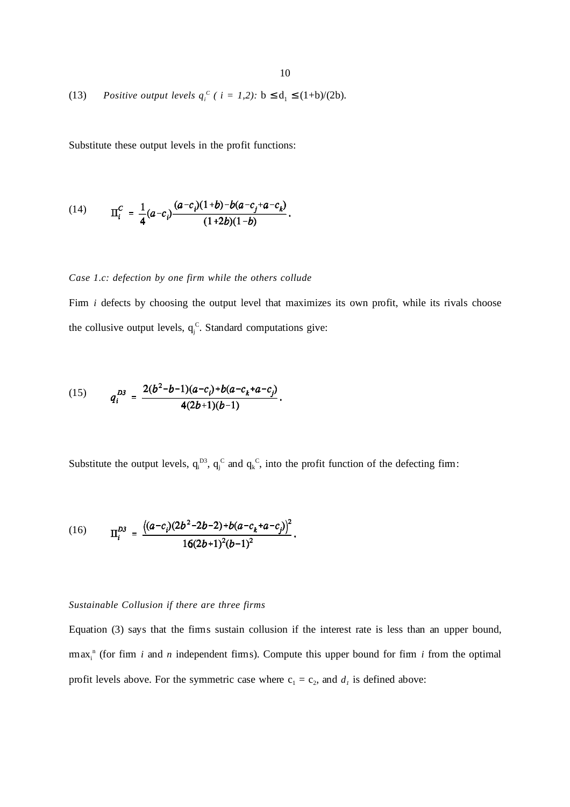(13) *Positive output levels*  $q_i^C$  (  $i = 1,2$ ):  $b \le d_1 \le (1+b)/(2b)$ .

Substitute these output levels in the profit functions:

(14) 
$$
\Pi_i^C = \frac{1}{4}(a-c_i)\frac{(a-c_i)(1+b)-b(a-c_j+a-c_k)}{(1+2b)(1-b)}.
$$

## *Case 1.c: defection by one firm while the others collude*

Firm *i* defects by choosing the output level that maximizes its own profit, while its rivals choose the collusive output levels,  $q_j^C$ . Standard computations give:

(15) 
$$
q_i^{D3} = \frac{2(b^2-b-1)(a-c_i)+b(a-c_k+a-c_j)}{4(2b+1)(b-1)}.
$$

Substitute the output levels,  $q_i^D$ ,  $q_j^C$  and  $q_k^C$ , into the profit function of the defecting firm:

(16) 
$$
\Pi_i^{D3} = \frac{((a-c_i)(2b^2-2b-2)+b(a-c_k+a-c_j))^2}{16(2b+1)^2(b-1)^2}.
$$

## *Sustainable Collusion if there are three firms*

Equation (3) says that the firms sustain collusion if the interest rate is less than an upper bound,  $\max_i$ <sup>n</sup> (for firm *i* and *n* independent firms). Compute this upper bound for firm *i* from the optimal profit levels above. For the symmetric case where  $c_1 = c_2$ , and  $d_1$  is defined above: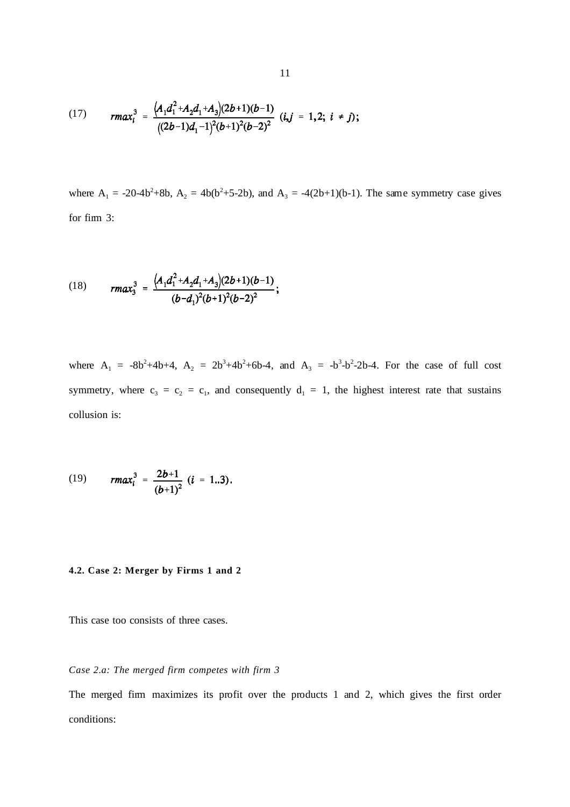(17) 
$$
r \max_{i}^{3} = \frac{(A_1 d_1^2 + A_2 d_1 + A_3)(2b+1)(b-1)}{((2b-1)d_1-1)^2(b+1)^2(b-2)^2} (i,j = 1,2; i \neq j);
$$

where  $A_1 = -20-4b^2+8b$ ,  $A_2 = 4b(b^2+5-2b)$ , and  $A_3 = -4(2b+1)(b-1)$ . The same symmetry case gives for firm 3:

(18) 
$$
r \, \text{max}_3^3 = \frac{\left(A_1 d_1^2 + A_2 d_1 + A_3\right)(2b+1)(b-1)}{(b-d_1)^2(b+1)^2(b-2)^2};
$$

where  $A_1 = -8b^2 + 4b + 4$ ,  $A_2 = 2b^3 + 4b^2 + 6b - 4$ , and  $A_3 = -b^3 - b^2 - 2b - 4$ . For the case of full cost symmetry, where  $c_3 = c_2 = c_1$ , and consequently  $d_1 = 1$ , the highest interest rate that sustains collusion is:

(19) 
$$
r \, \text{max}_i^3 = \frac{2b+1}{(b+1)^2} \, (i = 1..3).
$$

## **4.2. Case 2: Merger by Firms 1 and 2**

This case too consists of three cases.

## *Case 2.a: The merged firm competes with firm 3*

The merged firm maximizes its profit over the products 1 and 2, which gives the first order conditions: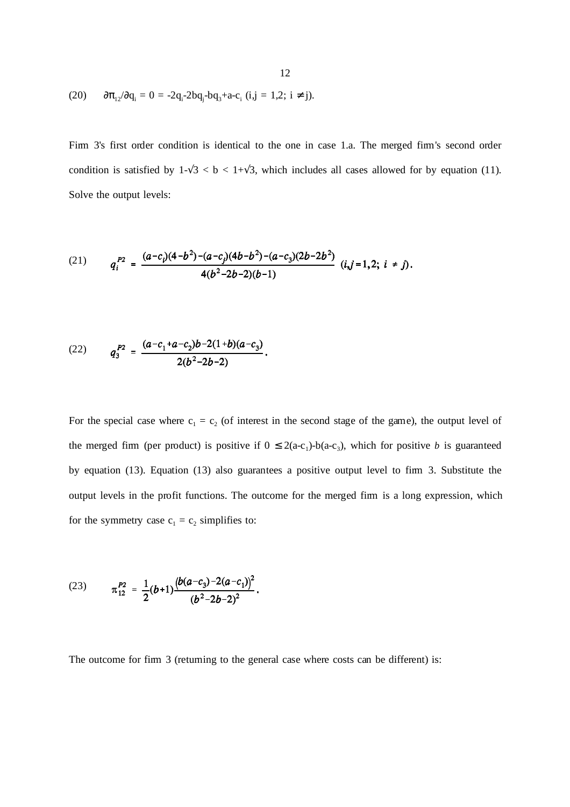(20) 
$$
\partial \pi_{12}/\partial q_i = 0 = -2q_i - 2bq_j - bq_3 + a - c_i
$$
 (i,j = 1,2; i \ne j).

Firm 3's first order condition is identical to the one in case 1.a. The merged firm's second order condition is satisfied by  $1-\sqrt{3} < b < 1+\sqrt{3}$ , which includes all cases allowed for by equation (11). Solve the output levels:

(21) 
$$
q_i^{P2} = \frac{(a-c_i)(4-b^2)-(a-c_j)(4b-b^2)-(a-c_3)(2b-2b^2)}{4(b^2-2b-2)(b-1)} (i,j=1,2; i \neq j).
$$

(22) 
$$
q_3^{P2} = \frac{(a-c_1+a-c_2)b-2(1+b)(a-c_3)}{2(b^2-2b-2)}.
$$

For the special case where  $c_1 = c_2$  (of interest in the second stage of the game), the output level of the merged firm (per product) is positive if  $0 \le 2(a-c_1)-b(a-c_3)$ , which for positive *b* is guaranteed by equation (13). Equation (13) also guarantees a positive output level to firm 3. Substitute the output levels in the profit functions. The outcome for the merged firm is a long expression, which for the symmetry case  $c_1 = c_2$  simplifies to:

(23) 
$$
\pi_{12}^{P2} = \frac{1}{2}(b+1)\frac{(b(a-c_3)-2(a-c_1))^2}{(b^2-2b-2)^2}.
$$

The outcome for firm 3 (returning to the general case where costs can be different) is: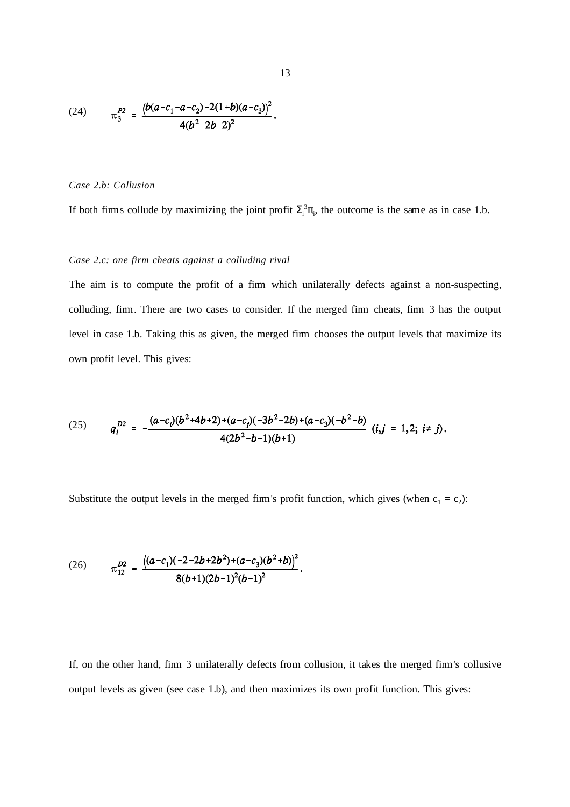(24) 
$$
\pi_3^{P2} = \frac{(b(a-c_1+a-c_2)-2(1+b)(a-c_3))^2}{4(b^2-2b-2)^2}.
$$

#### *Case 2.b: Collusion*

If both firms collude by maximizing the joint profit  $\Sigma_i^3 \pi$ , the outcome is the same as in case 1.b.

# *Case 2.c: one firm cheats against a colluding rival*

The aim is to compute the profit of a firm which unilaterally defects against a non-suspecting, colluding, firm. There are two cases to consider. If the merged firm cheats, firm 3 has the output level in case 1.b. Taking this as given, the merged firm chooses the output levels that maximize its own profit level. This gives:

(25) 
$$
q_i^{D2} = -\frac{(a-c_i)(b^2+4b+2)+(a-c_j)(-3b^2-2b)+(a-c_j)(-b^2-b)}{4(2b^2-b-1)(b+1)} (i,j = 1,2; i \neq j).
$$

Substitute the output levels in the merged firm's profit function, which gives (when  $c_1 = c_2$ ):

(26) 
$$
\pi_{12}^{D2} = \frac{((a-c_1)(-2-2b+2b^2)+(a-c_3)(b^2+b))^2}{8(b+1)(2b+1)^2(b-1)^2}.
$$

If, on the other hand, firm 3 unilaterally defects from collusion, it takes the merged firm's collusive output levels as given (see case 1.b), and then maximizes its own profit function. This gives: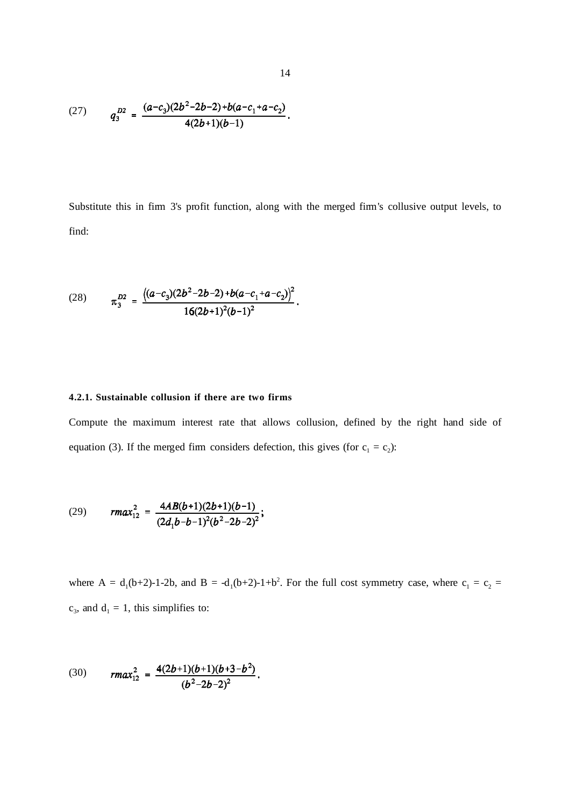(27) 
$$
q_3^{D2} = \frac{(a-c_3)(2b^2-2b-2)+b(a-c_1+a-c_2)}{4(2b+1)(b-1)}.
$$

Substitute this in firm 3's profit function, along with the merged firm's collusive output levels, to find:

(28) 
$$
\pi_3^{D2} = \frac{\left((a-c_3)(2b^2-2b-2)+b(a-c_1+a-c_2)\right)^2}{16(2b+1)^2(b-1)^2}.
$$

# **4.2.1. Sustainable collusion if there are two firms**

Compute the maximum interest rate that allows collusion, defined by the right hand side of equation (3). If the merged firm considers defection, this gives (for  $c_1 = c_2$ ):

(29) 
$$
r \cdot \max_{12}^2 = \frac{4AB(b+1)(2b+1)(b-1)}{(2d_1b-b-1)^2(b^2-2b-2)^2};
$$

where A =  $d_1(b+2)-1-2b$ , and B =  $-d_1(b+2)-1+b^2$ . For the full cost symmetry case, where  $c_1 = c_2$  =  $c_3$ , and  $d_1 = 1$ , this simplifies to:

(30) 
$$
r \cdot \max_{12}^2 = \frac{4(2b+1)(b+1)(b+3-b^2)}{(b^2-2b-2)^2}.
$$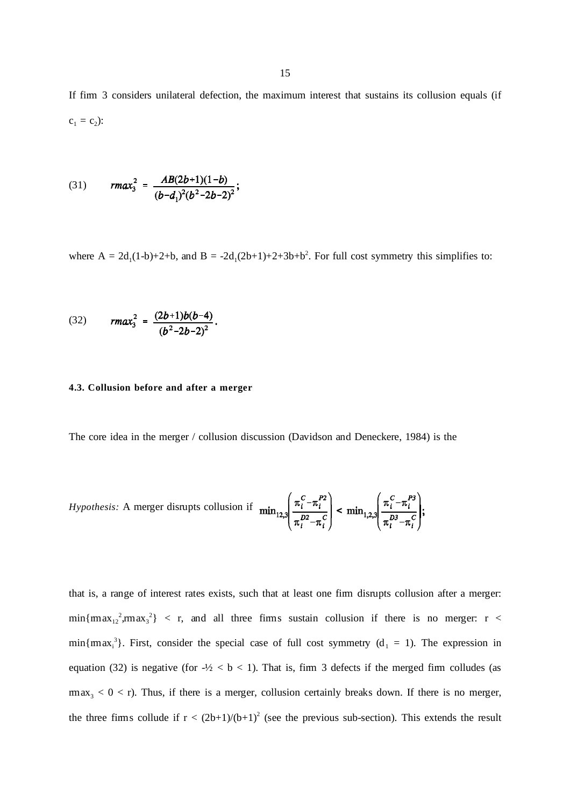If firm 3 considers unilateral defection, the maximum interest that sustains its collusion equals (if  $c_1 = c_2$ :

(31) 
$$
r \, \text{max}_3^2 = \frac{AB(2b+1)(1-b)}{(b-d_1)^2(b^2-2b-2)^2};
$$

where  $A = 2d_1(1-b)+2+b$ , and  $B = -2d_1(2b+1)+2+3b+b^2$ . For full cost symmetry this simplifies to:

(32) 
$$
r \cdot \text{max}_3^2 = \frac{(2b+1)b(b-4)}{(b^2-2b-2)^2}.
$$

### **4.3. Collusion before and after a merger**

The core idea in the merger / collusion discussion (Davidson and Deneckere, 1984) is the

*Hypothesis:* A merger disrupts collision if 
$$
\min_{12,3} \left( \frac{\pi_i^C - \pi_i^{P2}}{\pi_i^D - \pi_i^C} \right) < \min_{1,2,3} \left( \frac{\pi_i^C - \pi_i^{P3}}{\pi_i^D - \pi_i^C} \right);
$$

that is, a range of interest rates exists, such that at least one firm disrupts collusion after a merger:  $min{max_{12}^2, max_3^2}$  < r, and all three firms sustain collusion if there is no merger: r <  $min{max_i^3}$ . First, consider the special case of full cost symmetry ( $d_1 = 1$ ). The expression in equation (32) is negative (for  $-\frac{1}{2} < b < 1$ ). That is, firm 3 defects if the merged firm colludes (as  $r_{\rm max_3} < 0 < r$ ). Thus, if there is a merger, collusion certainly breaks down. If there is no merger, the three firms collude if  $r < (2b+1)/(b+1)^2$  (see the previous sub-section). This extends the result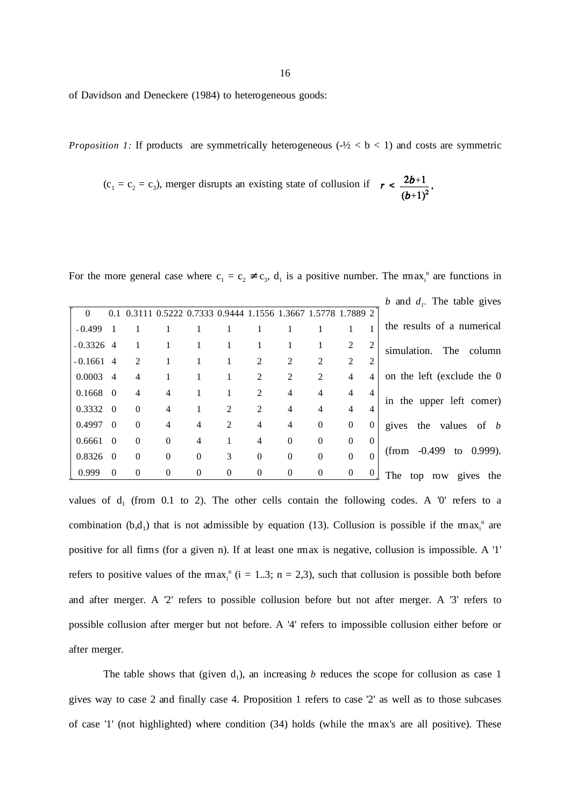of Davidson and Deneckere (1984) to heterogeneous goods:

*Proposition 1:* If products are symmetrically heterogeneous  $(-\frac{1}{2} < b < 1)$  and costs are symmetric

$$
(c_1 = c_2 = c_3)
$$
, merger displays an existing state of collision if  $r < \frac{2b+1}{(b+1)^2}$ 

For the more general case where  $c_1 = c_2 \neq c_3$ ,  $d_1$  is a positive number. The max<sub>i</sub><sup>n</sup> are functions in

| b and $d_i$ . The table gives         |                |                |                |                |                             |   |          |          |                                                           |                |             |
|---------------------------------------|----------------|----------------|----------------|----------------|-----------------------------|---|----------|----------|-----------------------------------------------------------|----------------|-------------|
|                                       |                |                |                |                |                             |   |          |          | 0.3111 0.5222 0.7333 0.9444 1.1556 1.3667 1.5778 1.7889 2 | 0.1            | $\Omega$    |
| the results of a numerical            | 1              |                |                |                | 1                           |   |          |          | 1                                                         |                | $-0.499$    |
| simulation.<br>The<br>column          | $\overline{2}$ | 2              |                |                | 1                           | 1 |          |          |                                                           |                | $-0.3326$ 4 |
|                                       | $\overline{2}$ | 2              | 2              | $\overline{2}$ | 2                           | 1 |          |          | $\mathfrak{D}$                                            |                | $-0.1661$ 4 |
| on the left (exclude the 0            | $\overline{4}$ | $\overline{4}$ | 2              | $\overline{2}$ | $\overline{2}$              | 1 |          |          | 4                                                         | $\overline{4}$ | 0.0003      |
| in the upper left corner)             | $\overline{4}$ | $\overline{4}$ | $\overline{4}$ | $\overline{4}$ | $\overline{2}$              |   |          | 4        | 4                                                         | $\overline{0}$ | 0.1668      |
|                                       | 4              | $\overline{4}$ | $\overline{4}$ | 4              | $\mathcal{D}_{\mathcal{L}}$ | 2 |          | 4        | $\mathbf{0}$                                              | $\Omega$       | 0.3332      |
| the values of b<br>gives              | $\Omega$       | $\theta$       | $\Omega$       | $\overline{4}$ | 4                           | 2 | 4        | 4        | $\theta$                                                  | $\Omega$       | 0.4997      |
|                                       | $\Omega$       | $\theta$       | $\Omega$       | $\theta$       | 4                           | 1 | 4        | $\Omega$ | $\mathbf{0}$                                              | $\theta$       | 0.6661      |
| (from $-0.499$ to 0.999).             | $\Omega$       | $\theta$       | $\Omega$       | $\Omega$       | $\theta$                    | 3 | $\Omega$ | $\Omega$ | $\mathbf{0}$                                              | $\Omega$       | 0.8326      |
| <b>The</b><br>the<br>top row<br>gives | $\overline{0}$ | $\theta$       | $\mathbf{0}$   | $\theta$       | $\Omega$                    | 0 | $\theta$ | $\Omega$ | $\theta$                                                  | $\theta$       | 0.999       |

values of  $d_1$  (from 0.1 to 2). The other cells contain the following codes. A '0' refers to a combination  $(b,d_1)$  that is not admissible by equation (13). Collusion is possible if the max<sub>i</sub><sup>n</sup> are positive for all firms (for a given n). If at least one rmax is negative, collusion is impossible. A '1' refers to positive values of the  $max_i$ <sup>n</sup> (i = 1..3; n = 2,3), such that collusion is possible both before and after merger. A '2' refers to possible collusion before but not after merger. A '3' refers to possible collusion after merger but not before. A '4' refers to impossible collusion either before or after merger.

The table shows that (given  $d_1$ ), an increasing *b* reduces the scope for collusion as case 1 gives way to case 2 and finally case 4. Proposition 1 refers to case '2' as well as to those subcases of case '1' (not highlighted) where condition (34) holds (while the rmax's are all positive). These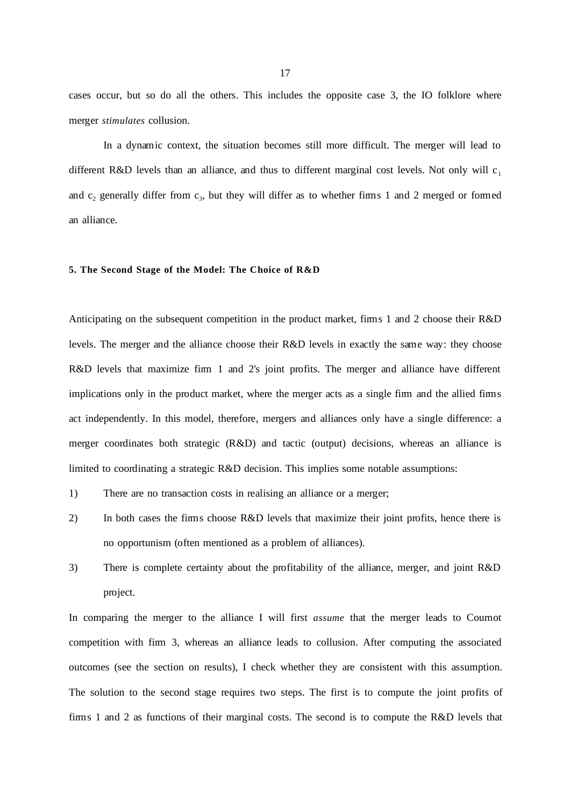cases occur, but so do all the others. This includes the opposite case 3, the IO folklore where merger *stimulates* collusion.

In a dynamic context, the situation becomes still more difficult. The merger will lead to different R&D levels than an alliance, and thus to different marginal cost levels. Not only will  $c_1$ and  $c_2$  generally differ from  $c_3$ , but they will differ as to whether firms 1 and 2 merged or formed an alliance.

## **5. The Second Stage of the Model: The Choice of R&D**

Anticipating on the subsequent competition in the product market, firms 1 and 2 choose their R&D levels. The merger and the alliance choose their R&D levels in exactly the same way: they choose R&D levels that maximize firm 1 and 2's joint profits. The merger and alliance have different implications only in the product market, where the merger acts as a single firm and the allied firms act independently. In this model, therefore, mergers and alliances only have a single difference: a merger coordinates both strategic (R&D) and tactic (output) decisions, whereas an alliance is limited to coordinating a strategic R&D decision. This implies some notable assumptions:

- 1) There are no transaction costs in realising an alliance or a merger;
- 2) In both cases the firms choose R&D levels that maximize their joint profits, hence there is no opportunism (often mentioned as a problem of alliances).
- 3) There is complete certainty about the profitability of the alliance, merger, and joint R&D project.

In comparing the merger to the alliance I will first *assume* that the merger leads to Cournot competition with firm 3, whereas an alliance leads to collusion. After computing the associated outcomes (see the section on results), I check whether they are consistent with this assumption. The solution to the second stage requires two steps. The first is to compute the joint profits of firms 1 and 2 as functions of their marginal costs. The second is to compute the R&D levels that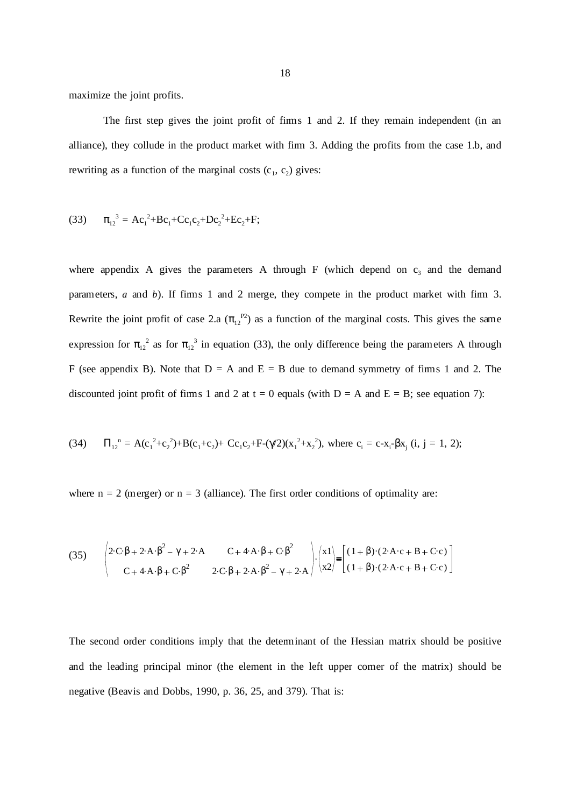maximize the joint profits.

The first step gives the joint profit of firms 1 and 2. If they remain independent (in an alliance), they collude in the product market with firm 3. Adding the profits from the case 1.b, and rewriting as a function of the marginal costs  $(c_1, c_2)$  gives:

(33) 
$$
\pi_{12}^3 = Ac_1^2 + Bc_1 + Cc_1c_2 + Dc_2^2 + Ec_2 + F;
$$

where appendix A gives the parameters A through F (which depend on  $c_3$  and the demand parameters, *a* and *b*). If firms 1 and 2 merge, they compete in the product market with firm 3. Rewrite the joint profit of case 2.a  $(\pi_{12}^{P2})$  as a function of the marginal costs. This gives the same expression for  $\pi_{12}^2$  as for  $\pi_{12}^3$  in equation (33), the only difference being the parameters A through F (see appendix B). Note that  $D = A$  and  $E = B$  due to demand symmetry of firms 1 and 2. The discounted joint profit of firms 1 and 2 at  $t = 0$  equals (with  $D = A$  and  $E = B$ ; see equation 7):

(34) 
$$
\Pi_{12}^{\ \ n} = A(c_1^2 + c_2^2) + B(c_1 + c_2) + Cc_1c_2 + F\left(\frac{\gamma}{2}\right)(x_1^2 + x_2^2), \text{ where } c_i = c - x_i - \beta x_j \text{ (i, j = 1, 2);}
$$

where  $n = 2$  (merger) or  $n = 3$  (alliance). The first order conditions of optimality are:

(35) 
$$
\begin{pmatrix} 2 \cdot \mathbf{C} \cdot \beta + 2 \cdot \mathbf{A} \cdot \beta^2 - \gamma + 2 \cdot \mathbf{A} & \mathbf{C} + 4 \cdot \mathbf{A} \cdot \beta + \mathbf{C} \cdot \beta^2 \\ \mathbf{C} + 4 \cdot \mathbf{A} \cdot \beta + \mathbf{C} \cdot \beta^2 & 2 \cdot \mathbf{C} \cdot \beta + 2 \cdot \mathbf{A} \cdot \beta^2 - \gamma + 2 \cdot \mathbf{A} \end{pmatrix} \cdot \begin{pmatrix} x1 \\ x2 \end{pmatrix} = \begin{bmatrix} (1+\beta) \cdot (2 \cdot \mathbf{A} \cdot \mathbf{c} + \mathbf{B} + \mathbf{C} \cdot \mathbf{c}) \\ (1+\beta) \cdot (2 \cdot \mathbf{A} \cdot \mathbf{c} + \mathbf{B} + \mathbf{C} \cdot \mathbf{c}) \end{bmatrix}
$$

The second order conditions imply that the determinant of the Hessian matrix should be positive and the leading principal minor (the element in the left upper corner of the matrix) should be negative (Beavis and Dobbs, 1990, p. 36, 25, and 379). That is: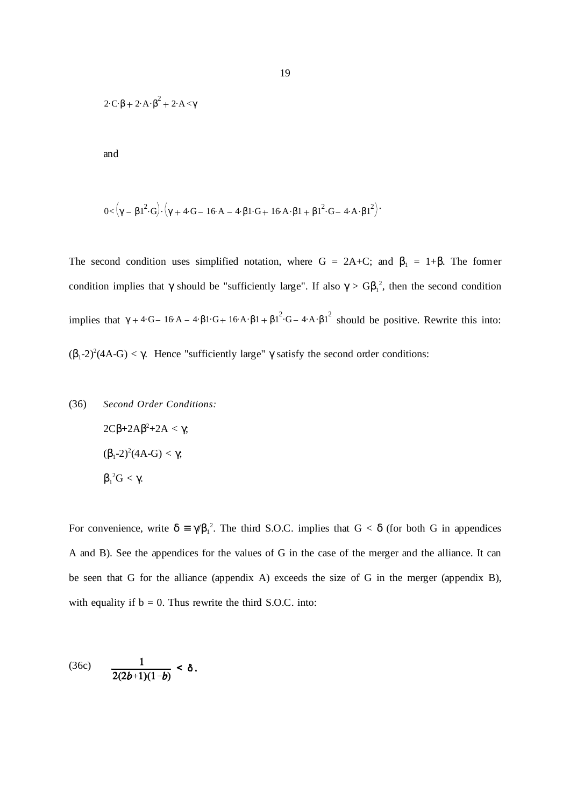$$
2\cdot C\cdot \beta + 2\cdot A\cdot \beta^2 + 2\cdot A<\!\gamma
$$

and

$$
0\hspace{-0.5ex}<\hspace{-0.5ex}\left(\gamma-\beta1^2\!\cdot\! G\right)\hspace{-0.5ex}\cdot\hspace{-0.5ex}\left(\gamma+4\!\cdot\! G\hspace{-0.5ex}-\hspace{-0.5ex} 16\!\cdot\! A\hspace{-0.5ex}-\hspace{-0.5ex} 4\!\cdot\! \beta1\!\cdot\! G\hspace{-0.5ex}+\hspace{-0.5ex} 16\!\cdot\! A\!\cdot\! \beta1^2\hspace{-0.5ex}+\hspace{-0.5ex} 16\!\cdot\! A\!\cdot\! \beta1^2\hspace{-0.5ex}\right)\hspace{-0.5ex}+\hspace{-0.5ex} 16\cdot\! A\!\cdot\! \beta1^2\hspace{-0.5ex}+\hspace{-0.5ex} 16\cdot\! A\!\cdot\! \beta1^2\hspace{-0.5ex}\right)\hspace{-0.5ex}+\hspace{-0.5ex}
$$

The second condition uses simplified notation, where G = 2A+C; and  $\beta_1 = 1+\beta$ . The former condition implies that  $\gamma$  should be "sufficiently large". If also  $\gamma > GB_1^2$ , then the second condition implies that  $\gamma + 4 \cdot G - 16 \cdot A - 4 \cdot \beta \cdot 1 \cdot G + 16 \cdot A \cdot \beta \cdot 1 + \beta \cdot 1^2 \cdot G - 4 \cdot A \cdot \beta \cdot 1^2$  should be positive. Rewrite this into: ( $\beta_1$ -2)<sup>2</sup>(4A-G) < γ. Hence "sufficiently large" γ satisfy the second order conditions:

(36) *Second Order Conditions:*

\n
$$
2C\beta + 2A\beta^2 + 2A < \gamma;
$$

\n
$$
(\beta_1 - 2)^2 (4A - G) < \gamma;
$$

\n
$$
\beta_1^2 G < \gamma.
$$

For convenience, write  $\delta = \gamma \beta_1^2$ . The third S.O.C. implies that  $G < \delta$  (for both G in appendices A and B). See the appendices for the values of G in the case of the merger and the alliance. It can be seen that G for the alliance (appendix A) exceeds the size of G in the merger (appendix B), with equality if  $b = 0$ . Thus rewrite the third S.O.C. into:

(36c) 
$$
\frac{1}{2(2b+1)(1-b)} < \delta.
$$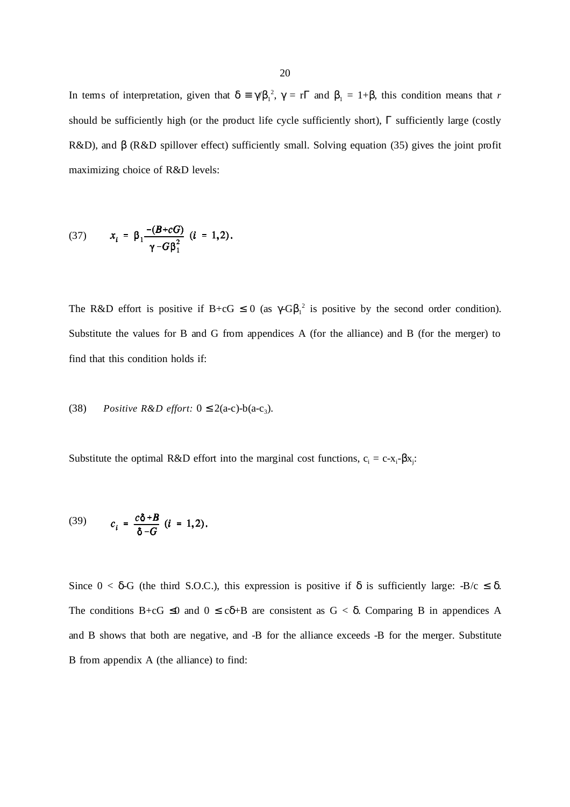In terms of interpretation, given that  $\delta = \gamma \beta_1^2$ ,  $\gamma = r \Gamma$  and  $\beta_1 = 1 + \beta$ , this condition means that *r* should be sufficiently high (or the product life cycle sufficiently short),  $\Gamma$  sufficiently large (costly R&D), and β (R&D spillover effect) sufficiently small. Solving equation (35) gives the joint profit maximizing choice of R&D levels:

(37) 
$$
x_i = \beta_1 \frac{-(B + cG)}{\gamma - G\beta_1^2} \quad (i = 1, 2).
$$

The R&D effort is positive if  $B + cG \le 0$  (as  $\gamma - G\beta_1^2$  is positive by the second order condition). Substitute the values for B and G from appendices A (for the alliance) and B (for the merger) to find that this condition holds if:

## (38) *Positive R&D effort:*  $0 \le 2(a-c)$ -b $(a-c_3)$ .

Substitute the optimal R&D effort into the marginal cost functions,  $c_i = c-x_i-\beta x_j$ .

(39) 
$$
c_i = \frac{c\delta + B}{\delta - G} (i = 1, 2).
$$

Since  $0 < \delta$ -G (the third S.O.C.), this expression is positive if  $\delta$  is sufficiently large: -B/c  $\leq \delta$ . The conditions B+cG  $\leq$ 0 and  $0 \leq c\delta$ +B are consistent as  $G < \delta$ . Comparing B in appendices A and B shows that both are negative, and -B for the alliance exceeds -B for the merger. Substitute B from appendix A (the alliance) to find: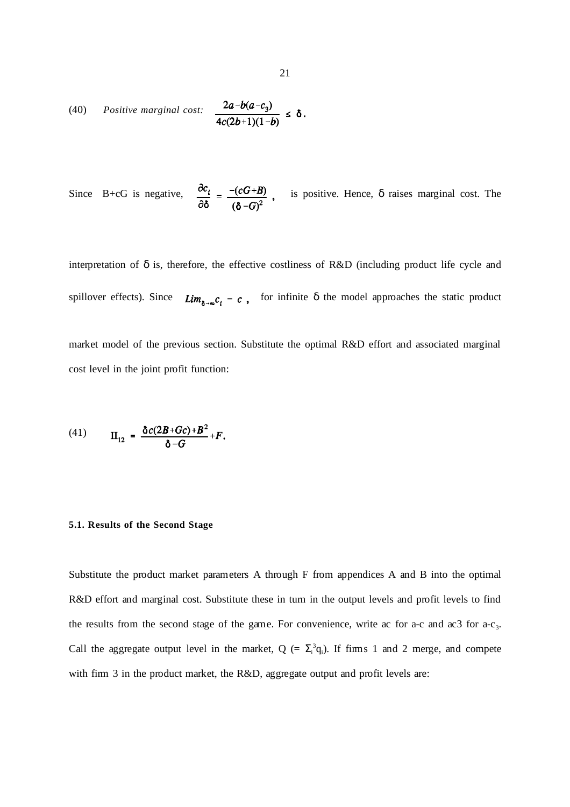(40) Positive marginal cost: 
$$
\frac{2a-b(a-c_3)}{4c(2b+1)(1-b)} \le \delta
$$

Since B+cG is negative,  $\frac{\partial c_i}{\partial \delta} = \frac{-(cG+B)}{(\delta-G)^2}$ , is positive. Hence,  $\delta$  raises marginal cost. The

interpretation of  $\delta$  is, therefore, the effective costliness of R&D (including product life cycle and spillover effects). Since  $Lim_{\delta\rightarrow\infty}c_i = c$ , for infinite  $\delta$  the model approaches the static product market model of the previous section. Substitute the optimal R&D effort and associated marginal cost level in the joint profit function:

(41) 
$$
\Pi_{12} = \frac{\delta c (2B + Gc) + B^2}{\delta - G} + F.
$$

#### **5.1. Results of the Second Stage**

Substitute the product market parameters A through F from appendices A and B into the optimal R&D effort and marginal cost. Substitute these in turn in the output levels and profit levels to find the results from the second stage of the game. For convenience, write ac for a-c and ac3 for  $a-c_3$ . Call the aggregate output level in the market,  $Q = \sum_i^3 q_i$ . If firms 1 and 2 merge, and compete with firm 3 in the product market, the R&D, aggregate output and profit levels are: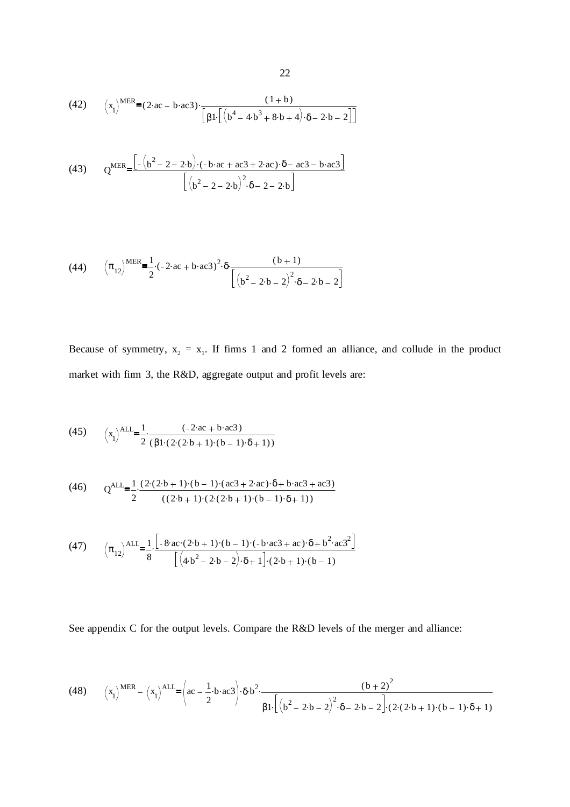(42) 
$$
\left(x_1\right)^{\text{MER}} = (2 \cdot ac - b \cdot ac3) \cdot \frac{(1+b)}{[ \beta 1 \cdot [(b^4 - 4 \cdot b^3 + 8 \cdot b + 4) \cdot \delta - 2 \cdot b - 2 ] ]}
$$

(43) 
$$
Q^{MER} = \frac{\left[ -\left(b^2 - 2 - 2 \cdot b\right) \cdot (-b \cdot ac + ac3 + 2 \cdot ac) \cdot \delta - ac3 - b \cdot ac3 \right]}{\left[ \left(b^2 - 2 - 2 \cdot b\right)^2 \cdot \delta - 2 - 2 \cdot b \right]}
$$

(44) 
$$
\left(\pi_{12}\right)^{\text{MER}} = \frac{1}{2} \cdot (-2 \cdot \text{ac} + \text{b} \cdot \text{ac}3)^2 \cdot \delta \cdot \frac{(\text{b}+1)}{\left[\left(\text{b}^2 - 2 \cdot \text{b} - 2\right)^2 \cdot \delta - 2 \cdot \text{b} - 2\right]}
$$

Because of symmetry,  $x_2 = x_1$ . If firms 1 and 2 formed an alliance, and collude in the product market with firm 3, the R&D, aggregate output and profit levels are:

(45) 
$$
\left(x_1\right)^{ALL} = \frac{1}{2} \cdot \frac{(-2 \cdot ac + b \cdot ac3)}{(\beta 1 \cdot (2 \cdot (2 \cdot b + 1) \cdot (b - 1) \cdot \delta + 1))}
$$

(46) 
$$
Q^{ALL} = \frac{1}{2} \cdot \frac{(2 \cdot (2 \cdot b + 1) \cdot (b - 1) \cdot (ac3 + 2 \cdot ac) \cdot \delta + b \cdot ac3 + ac3)}{((2 \cdot b + 1) \cdot (2 \cdot (2 \cdot b + 1) \cdot (b - 1) \cdot \delta + 1))}
$$

(47) 
$$
\left(\pi_{12}\right)^{\text{ALL}} = \frac{1}{8} \cdot \frac{\left[-8 \cdot \text{ac} \cdot (2 \cdot b + 1) \cdot (b - 1) \cdot (-b \cdot \text{ac}3 + \text{ac}) \cdot \delta + b^2 \cdot \text{ac}3^2\right]}{\left[\left(4 \cdot b^2 - 2 \cdot b - 2\right) \cdot \delta + 1\right] \cdot (2 \cdot b + 1) \cdot (b - 1)}
$$

See appendix C for the output levels. Compare the R&D levels of the merger and alliance:

(48) 
$$
\left(x_1\right)^{\text{MER}} - \left(x_1\right)^{\text{ALL}} = \left(ac - \frac{1}{2} \cdot b \cdot ac3\right) \cdot \delta \cdot b^2 \cdot \frac{\left(b + 2\right)^2}{\beta 1 \cdot \left[\left(b^2 - 2 \cdot b - 2\right)^2 \cdot \delta - 2 \cdot b - 2\right] \cdot \left(2 \cdot (2 \cdot b + 1) \cdot (b - 1) \cdot \delta + 1\right)}
$$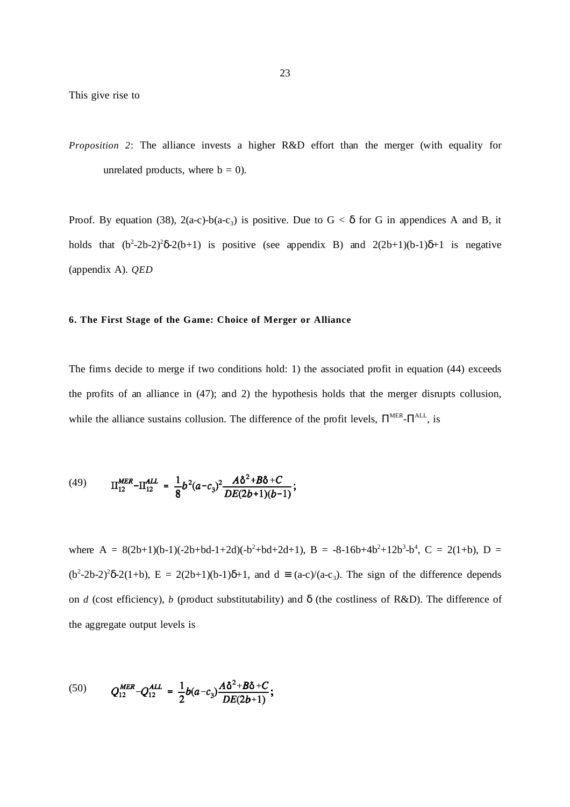*Proposition 2*: The alliance invests a higher R&D effort than the merger (with equality for unrelated products, where  $b = 0$ ).

Proof. By equation (38),  $2(a-c)-b(a-c_3)$  is positive. Due to  $G < \delta$  for G in appendices A and B, it holds that  $(b^2-2b-2)^2\delta-2(b+1)$  is positive (see appendix B) and  $2(2b+1)(b-1)\delta+1$  is negative (appendix A). *QED*

# **6. The First Stage of the Game: Choice of Merger or Alliance**

The firms decide to merge if two conditions hold: 1) the associated profit in equation (44) exceeds the profits of an alliance in (47); and 2) the hypothesis holds that the merger disrupts collusion, while the alliance sustains collusion. The difference of the profit levels,  $\Pi^{\text{MER}}$ - $\Pi^{\text{ALL}}$ , is

(49) 
$$
\Pi_{12}^{MER} - \Pi_{12}^{ALL} = \frac{1}{8} b^2 (a - c_3)^2 \frac{A \delta^2 + B \delta + C}{DE(2b+1)(b-1)};
$$

where  $A = 8(2b+1)(b-1)(-2b+bd-1+2d)(-b^2+bd+2d+1)$ ,  $B = -8-16b+4b^2+12b^3-b^4$ ,  $C = 2(1+b)$ ,  $D =$  $(b^2-2b-2)^2\delta-2(1+b)$ ,  $E = 2(2b+1)(b-1)\delta+1$ , and  $d = (a-c)/(a-c_3)$ . The sign of the difference depends on *d* (cost efficiency), *b* (product substitutability) and  $\delta$  (the costliness of R&D). The difference of the aggregate output levels is

(50) 
$$
Q_{12}^{MER} - Q_{12}^{ALL} = \frac{1}{2}b(a-c_3)\frac{A\delta^2 + B\delta + C}{DE(2b+1)};
$$

 $\overline{a}$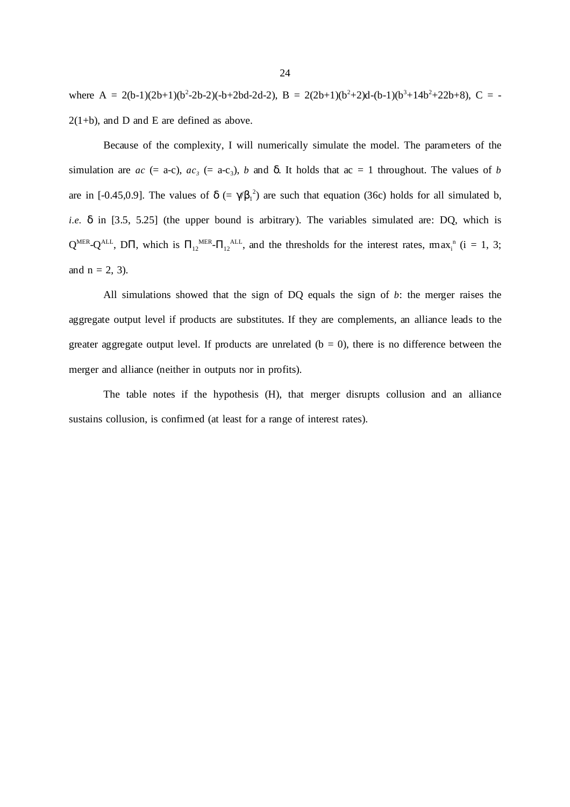where A = 2(b-1)(2b+1)(b<sup>2</sup>-2b-2)(-b+2bd-2d-2), B = 2(2b+1)(b<sup>2</sup>+2)d-(b-1)(b<sup>3</sup>+14b<sup>2</sup>+22b+8), C = - $2(1+b)$ , and D and E are defined as above.

Because of the complexity, I will numerically simulate the model. The parameters of the simulation are  $ac$  (= a-c),  $ac_3$  (= a-c<sub>3</sub>), *b* and  $\delta$ . It holds that  $ac = 1$  throughout. The values of *b* are in [-0.45,0.9]. The values of  $\delta$  (=  $\gamma/\beta_1^2$ ) are such that equation (36c) holds for all simulated b, *i.e.* δ in [3.5, 5.25] (the upper bound is arbitrary). The variables simulated are: DQ, which is  $Q^{MER}$ - $Q^{ALL}$ , D $\Pi$ , which is  $\Pi_{12}^{MER}$ - $\Pi_{12}^{ALL}$ , and the thresholds for the interest rates, max<sub>i</sub><sup>n</sup> (i = 1, 3; and  $n = 2, 3$ ).

All simulations showed that the sign of DQ equals the sign of *b*: the merger raises the aggregate output level if products are substitutes. If they are complements, an alliance leads to the greater aggregate output level. If products are unrelated  $(b = 0)$ , there is no difference between the merger and alliance (neither in outputs nor in profits).

The table notes if the hypothesis (H), that merger disrupts collusion and an alliance sustains collusion, is confirmed (at least for a range of interest rates).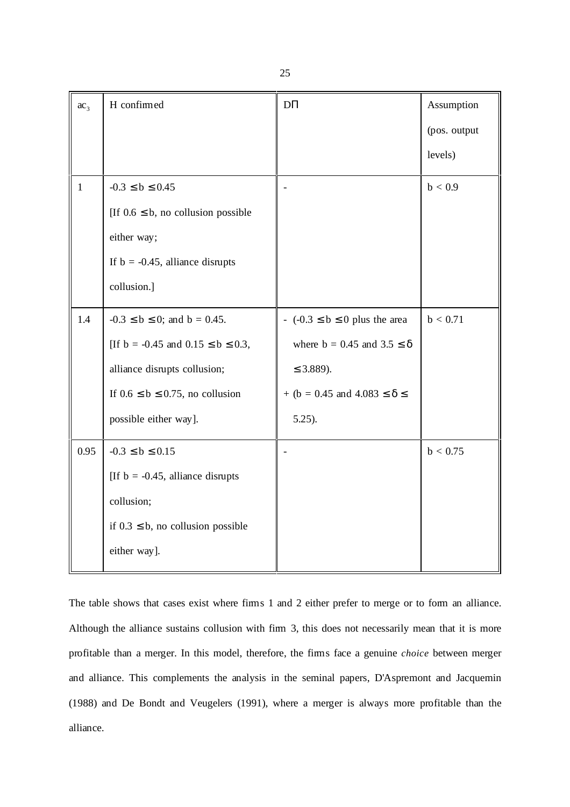| ac <sub>3</sub> | H confirmed                              | $\mathbf{D}\Pi$                          | Assumption   |
|-----------------|------------------------------------------|------------------------------------------|--------------|
|                 |                                          |                                          | (pos. output |
|                 |                                          |                                          | levels)      |
| $\mathbf{1}$    | $-0.3 \le b \le 0.45$                    |                                          | b < 0.9      |
|                 | [If $0.6 \le b$ , no collusion possible  |                                          |              |
|                 | either way;                              |                                          |              |
|                 | If $b = -0.45$ , alliance disrupts       |                                          |              |
|                 | collusion.]                              |                                          |              |
| 1.4             | $-0.3 \le b \le 0$ ; and $b = 0.45$ .    | $- (-0.3 \le b \le 0)$ plus the area     | b < 0.71     |
|                 | [If b = -0.45 and $0.15 \le b \le 0.3$ , | where $b = 0.45$ and $3.5 \le \delta$    |              |
|                 | alliance disrupts collusion;             | $\leq$ 3.889).                           |              |
|                 | If $0.6 \le b \le 0.75$ , no collusion   | + (b = 0.45 and 4.083 $\leq \delta \leq$ |              |
|                 | possible either way].                    | $5.25$ ).                                |              |
| 0.95            | $-0.3 \le b \le 0.15$                    |                                          | b < 0.75     |
|                 | [If $b = -0.45$ , alliance disrupts      |                                          |              |
|                 | collusion;                               |                                          |              |
|                 | if $0.3 \le b$ , no collusion possible   |                                          |              |
|                 | either way].                             |                                          |              |

The table shows that cases exist where firms 1 and 2 either prefer to merge or to form an alliance. Although the alliance sustains collusion with firm 3, this does not necessarily mean that it is more profitable than a merger. In this model, therefore, the firms face a genuine *choice* between merger and alliance. This complements the analysis in the seminal papers, D'Aspremont and Jacquemin (1988) and De Bondt and Veugelers (1991), where a merger is always more profitable than the alliance.

25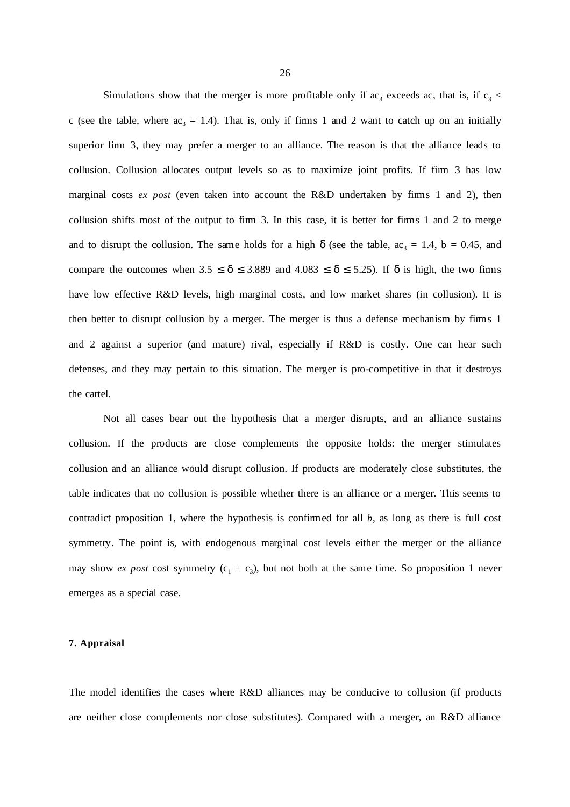Simulations show that the merger is more profitable only if  $ac_3$  exceeds ac, that is, if  $c_3$  < c (see the table, where  $ac_3 = 1.4$ ). That is, only if firms 1 and 2 want to catch up on an initially superior firm 3, they may prefer a merger to an alliance. The reason is that the alliance leads to collusion. Collusion allocates output levels so as to maximize joint profits. If firm 3 has low marginal costs *ex post* (even taken into account the R&D undertaken by firms 1 and 2), then collusion shifts most of the output to firm 3. In this case, it is better for firms 1 and 2 to merge and to disrupt the collusion. The same holds for a high  $\delta$  (see the table,  $ac_3 = 1.4$ ,  $b = 0.45$ , and compare the outcomes when  $3.5 \le \delta \le 3.889$  and  $4.083 \le \delta \le 5.25$ ). If  $\delta$  is high, the two firms have low effective R&D levels, high marginal costs, and low market shares (in collusion). It is then better to disrupt collusion by a merger. The merger is thus a defense mechanism by firms 1 and 2 against a superior (and mature) rival, especially if R&D is costly. One can hear such defenses, and they may pertain to this situation. The merger is pro-competitive in that it destroys the cartel.

Not all cases bear out the hypothesis that a merger disrupts, and an alliance sustains collusion. If the products are close complements the opposite holds: the merger stimulates collusion and an alliance would disrupt collusion. If products are moderately close substitutes, the table indicates that no collusion is possible whether there is an alliance or a merger. This seems to contradict proposition 1, where the hypothesis is confirmed for all *b*, as long as there is full cost symmetry. The point is, with endogenous marginal cost levels either the merger or the alliance may show *ex post* cost symmetry  $(c_1 = c_3)$ , but not both at the same time. So proposition 1 never emerges as a special case.

#### **7. Appraisal**

The model identifies the cases where R&D alliances may be conducive to collusion (if products are neither close complements nor close substitutes). Compared with a merger, an R&D alliance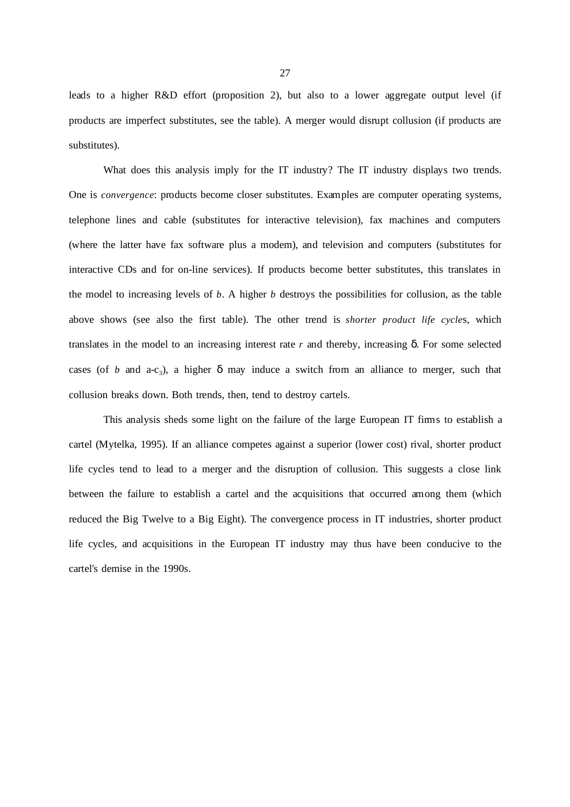leads to a higher R&D effort (proposition 2), but also to a lower aggregate output level (if products are imperfect substitutes, see the table). A merger would disrupt collusion (if products are substitutes).

What does this analysis imply for the IT industry? The IT industry displays two trends. One is *convergence*: products become closer substitutes. Examples are computer operating systems, telephone lines and cable (substitutes for interactive television), fax machines and computers (where the latter have fax software plus a modem), and television and computers (substitutes for interactive CDs and for on-line services). If products become better substitutes, this translates in the model to increasing levels of *b*. A higher *b* destroys the possibilities for collusion, as the table above shows (see also the first table). The other trend is *shorter product life cycle*s, which translates in the model to an increasing interest rate *r* and thereby, increasing δ. For some selected cases (of *b* and a-c<sub>3</sub>), a higher  $\delta$  may induce a switch from an alliance to merger, such that collusion breaks down. Both trends, then, tend to destroy cartels.

This analysis sheds some light on the failure of the large European IT firms to establish a cartel (Mytelka, 1995). If an alliance competes against a superior (lower cost) rival, shorter product life cycles tend to lead to a merger and the disruption of collusion. This suggests a close link between the failure to establish a cartel and the acquisitions that occurred among them (which reduced the Big Twelve to a Big Eight). The convergence process in IT industries, shorter product life cycles, and acquisitions in the European IT industry may thus have been conducive to the cartel's demise in the 1990s.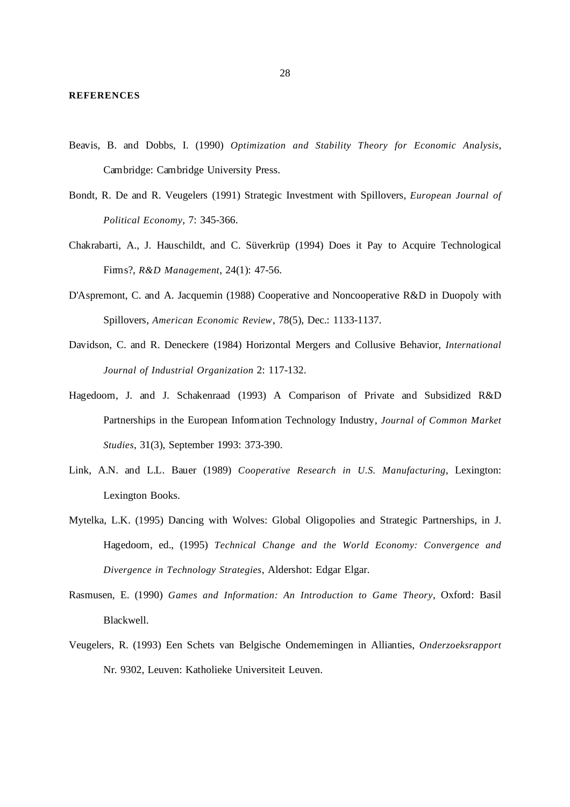- Beavis, B. and Dobbs, I. (1990) *Optimization and Stability Theory for Economic Analysis*, Cambridge: Cambridge University Press.
- Bondt, R. De and R. Veugelers (1991) Strategic Investment with Spillovers, *European Journal of Political Economy*, 7: 345-366.
- Chakrabarti, A., J. Hauschildt, and C. Süverkrüp (1994) Does it Pay to Acquire Technological Firms?, *R&D Management*, 24(1): 47-56.
- D'Aspremont, C. and A. Jacquemin (1988) Cooperative and Noncooperative R&D in Duopoly with Spillovers, *American Economic Review*, 78(5), Dec.: 1133-1137.
- Davidson, C. and R. Deneckere (1984) Horizontal Mergers and Collusive Behavior, *International Journal of Industrial Organization* 2: 117-132.
- Hagedoorn, J. and J. Schakenraad (1993) A Comparison of Private and Subsidized R&D Partnerships in the European Information Technology Industry, *Journal of Common Market Studies*, 31(3), September 1993: 373-390.
- Link, A.N. and L.L. Bauer (1989) *Cooperative Research in U.S. Manufacturing*, Lexington: Lexington Books.
- Mytelka, L.K. (1995) Dancing with Wolves: Global Oligopolies and Strategic Partnerships, in J. Hagedoorn, ed., (1995) *Technical Change and the World Economy: Convergence and Divergence in Technology Strategies*, Aldershot: Edgar Elgar.
- Rasmusen, E. (1990) *Games and Information: An Introduction to Game Theory*, Oxford: Basil Blackwell.
- Veugelers, R. (1993) Een Schets van Belgische Ondernemingen in Allianties, *Onderzoeksrapport* Nr. 9302, Leuven: Katholieke Universiteit Leuven.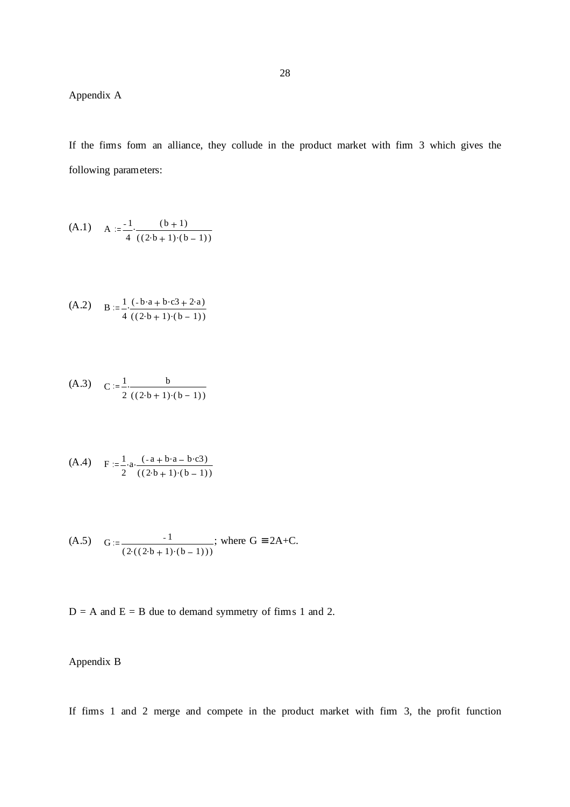Appendix A

If the firms form an alliance, they collude in the product market with firm 3 which gives the following parameters:

(A.1) 
$$
A := \frac{-1}{4} \cdot \frac{(b+1)}{((2 \cdot b + 1) \cdot (b-1))}
$$

$$
(A.2) \qquad B := \frac{1}{4} \cdot \frac{(-b \cdot a + b \cdot c \cdot 3 + 2 \cdot a)}{((2 \cdot b + 1) \cdot (b - 1))}
$$

$$
(A.3) \quad C := \frac{1}{2} \cdot \frac{b}{((2 \cdot b + 1) \cdot (b - 1))}
$$

$$
(A.4) \tF := \frac{1}{2} \cdot a \cdot \frac{(-a + b \cdot a - b \cdot c3)}{((2 \cdot b + 1) \cdot (b - 1))}
$$

(A.5) 
$$
G := \frac{-1}{(2((2 \cdot b + 1) \cdot (b - 1)))}
$$
; where  $G = 2A + C$ .

 $D = A$  and  $E = B$  due to demand symmetry of firms 1 and 2.

# Appendix B

If firms 1 and 2 merge and compete in the product market with firm 3, the profit function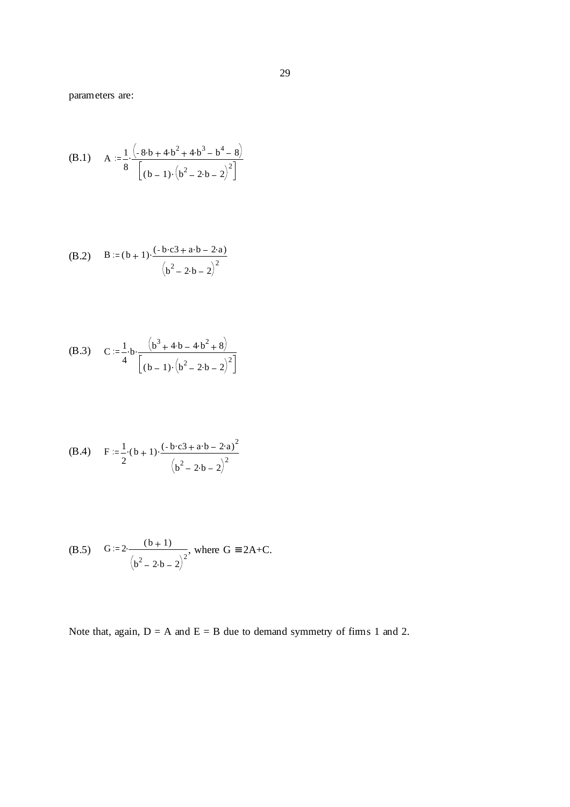parameters are:

(B.1) 
$$
A := \frac{1}{8} \cdot \frac{(-8 \cdot b + 4 \cdot b^{2} + 4 \cdot b^{3} - b^{4} - 8)}{[(b-1) \cdot (b^{2} - 2 \cdot b - 2)^{2}]}
$$

(B.2) 
$$
B := (b+1) \cdot \frac{(-b \cdot c3 + a \cdot b - 2 \cdot a)}{(b^2 - 2 \cdot b - 2)^2}
$$

(B.3) 
$$
C := \frac{1}{4} \cdot b \cdot \frac{(b^3 + 4 \cdot b - 4 \cdot b^2 + 8)}{[(b-1) \cdot (b^2 - 2 \cdot b - 2)^2]}
$$

(B.4) 
$$
F := \frac{1}{2} \cdot (b+1) \cdot \frac{(-b \cdot c3 + a \cdot b - 2 \cdot a)^2}{(b^2 - 2 \cdot b - 2)^2}
$$

(B.5) 
$$
G := 2 \cdot \frac{(b+1)}{(b^2 - 2 \cdot b - 2)^2}
$$
, where  $G = 2A + C$ .

Note that, again,  $D = A$  and  $E = B$  due to demand symmetry of firms 1 and 2.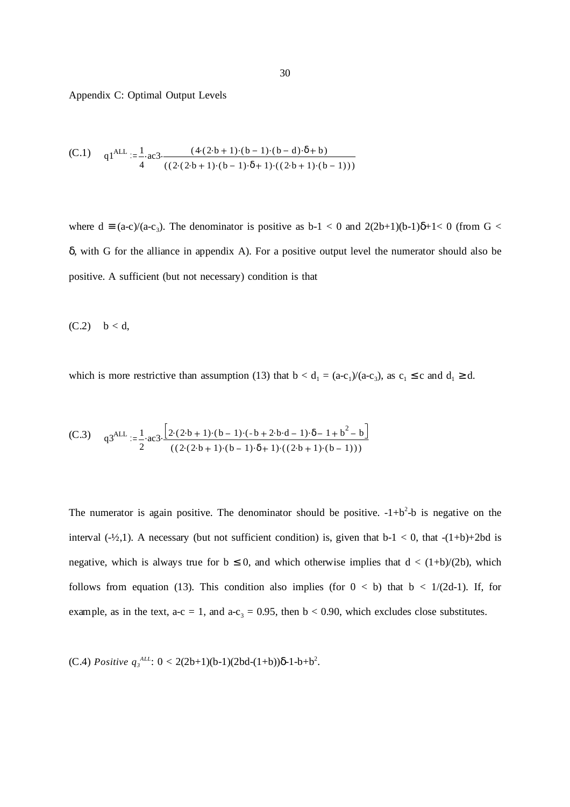Appendix C: Optimal Output Levels

(C.1) 
$$
q1^{ALL} := \frac{1}{4} \cdot ac3 \cdot \frac{(4 \cdot (2 \cdot b + 1) \cdot (b - 1) \cdot (b - d) \cdot \delta + b)}{((2 \cdot (2 \cdot b + 1) \cdot (b - 1) \cdot \delta + 1) \cdot ((2 \cdot b + 1) \cdot (b - 1)))}
$$

where  $d \equiv (a-c)/(a-c_3)$ . The denominator is positive as  $b-1 < 0$  and  $2(2b+1)(b-1)\delta+1 < 0$  (from  $G <$ δ, with G for the alliance in appendix A). For a positive output level the numerator should also be positive. A sufficient (but not necessary) condition is that

 $(C.2)$   $b < d$ ,

which is more restrictive than assumption (13) that  $b < d_1 = (a-c_1)/(a-c_3)$ , as  $c_1 \le c$  and  $d_1 \ge d$ .

(C.3) 
$$
q3^{ALL} := \frac{1}{2} \cdot ac3 \cdot \frac{\left[2 \cdot (2 \cdot b + 1) \cdot (b - 1) \cdot (-b + 2 \cdot b \cdot d - 1) \cdot \delta - 1 + b^2 - b\right]}{(2 \cdot (2 \cdot b + 1) \cdot (b - 1) \cdot \delta + 1) \cdot ((2 \cdot b + 1) \cdot (b - 1))}
$$

The numerator is again positive. The denominator should be positive.  $-1+b^2-b$  is negative on the interval  $(-\frac{1}{2},1)$ . A necessary (but not sufficient condition) is, given that  $b-1 < 0$ , that  $-(1+b)+2bd$  is negative, which is always true for  $b \le 0$ , and which otherwise implies that  $d < (1+b)/(2b)$ , which follows from equation (13). This condition also implies (for  $0 < b$ ) that  $b < 1/(2d-1)$ . If, for example, as in the text, a-c = 1, and a-c<sub>3</sub> = 0.95, then  $b < 0.90$ , which excludes close substitutes.

(C.4) *Positive*  $q_3^{\text{ALL}}$ : 0 < 2(2b+1)(b-1)(2bd-(1+b))δ-1-b+b<sup>2</sup>.